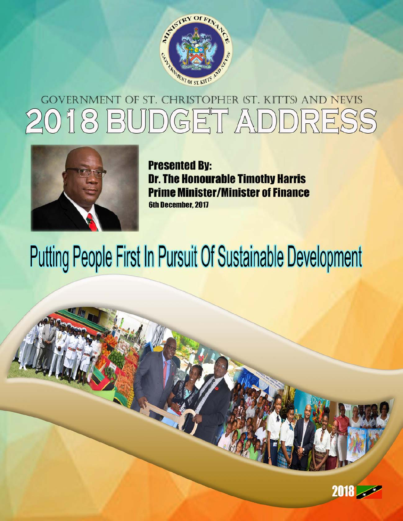

# ERNMENT OF ST. CHRISTOPHER (ST. KITTS) AND NEVIS GOV 018 BUDGET ADDRESS



**Presented By: Dr. The Honourable Timothy Harris Prime Minister/Minister of Finance 6th December, 2017** 

# **Putting People First In Pursuit Of Sustainable Development**

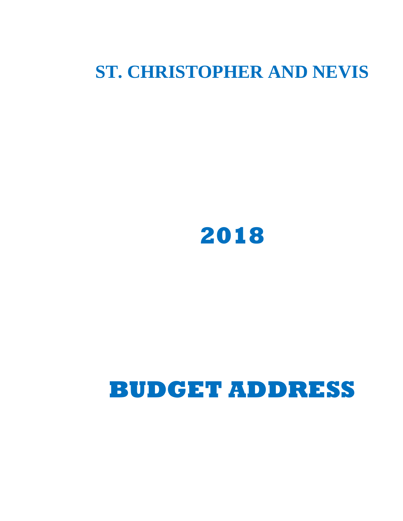# **ST. CHRISTOPHER AND NEVIS**



# **BUDGET ADDRESS**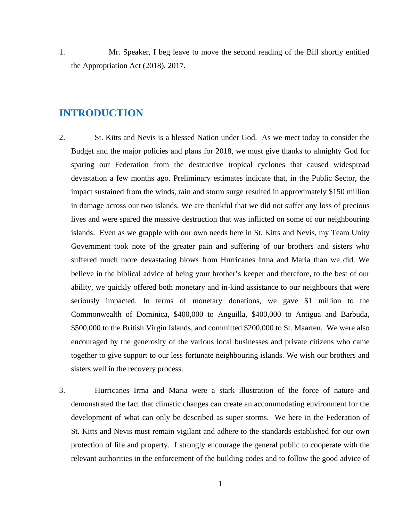1. Mr. Speaker, I beg leave to move the second reading of the Bill shortly entitled the Appropriation Act (2018), 2017.

## **INTRODUCTION**

- 2. St. Kitts and Nevis is a blessed Nation under God. As we meet today to consider the Budget and the major policies and plans for 2018, we must give thanks to almighty God for sparing our Federation from the destructive tropical cyclones that caused widespread devastation a few months ago. Preliminary estimates indicate that, in the Public Sector, the impact sustained from the winds, rain and storm surge resulted in approximately \$150 million in damage across our two islands. We are thankful that we did not suffer any loss of precious lives and were spared the massive destruction that was inflicted on some of our neighbouring islands. Even as we grapple with our own needs here in St. Kitts and Nevis, my Team Unity Government took note of the greater pain and suffering of our brothers and sisters who suffered much more devastating blows from Hurricanes Irma and Maria than we did. We believe in the biblical advice of being your brother's keeper and therefore, to the best of our ability, we quickly offered both monetary and in-kind assistance to our neighbours that were seriously impacted. In terms of monetary donations, we gave \$1 million to the Commonwealth of Dominica, \$400,000 to Anguilla, \$400,000 to Antigua and Barbuda, \$500,000 to the British Virgin Islands, and committed \$200,000 to St. Maarten. We were also encouraged by the generosity of the various local businesses and private citizens who came together to give support to our less fortunate neighbouring islands. We wish our brothers and sisters well in the recovery process.
- 3. Hurricanes Irma and Maria were a stark illustration of the force of nature and demonstrated the fact that climatic changes can create an accommodating environment for the development of what can only be described as super storms. We here in the Federation of St. Kitts and Nevis must remain vigilant and adhere to the standards established for our own protection of life and property. I strongly encourage the general public to cooperate with the relevant authorities in the enforcement of the building codes and to follow the good advice of

1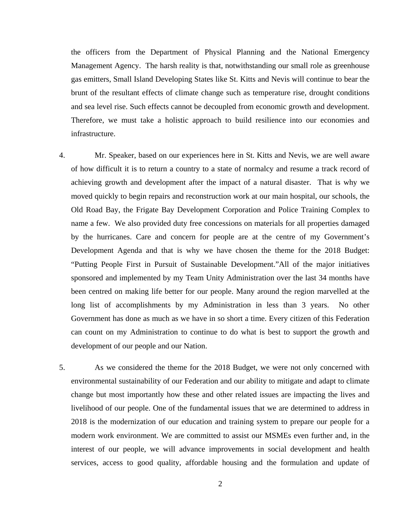the officers from the Department of Physical Planning and the National Emergency Management Agency. The harsh reality is that, notwithstanding our small role as greenhouse gas emitters, Small Island Developing States like St. Kitts and Nevis will continue to bear the brunt of the resultant effects of climate change such as temperature rise, drought conditions and sea level rise. Such effects cannot be decoupled from economic growth and development. Therefore, we must take a holistic approach to build resilience into our economies and infrastructure.

- 4. Mr. Speaker, based on our experiences here in St. Kitts and Nevis, we are well aware of how difficult it is to return a country to a state of normalcy and resume a track record of achieving growth and development after the impact of a natural disaster. That is why we moved quickly to begin repairs and reconstruction work at our main hospital, our schools, the Old Road Bay, the Frigate Bay Development Corporation and Police Training Complex to name a few. We also provided duty free concessions on materials for all properties damaged by the hurricanes. Care and concern for people are at the centre of my Government's Development Agenda and that is why we have chosen the theme for the 2018 Budget: "Putting People First in Pursuit of Sustainable Development."All of the major initiatives sponsored and implemented by my Team Unity Administration over the last 34 months have been centred on making life better for our people. Many around the region marvelled at the long list of accomplishments by my Administration in less than 3 years. No other Government has done as much as we have in so short a time. Every citizen of this Federation can count on my Administration to continue to do what is best to support the growth and development of our people and our Nation.
- 5. As we considered the theme for the 2018 Budget, we were not only concerned with environmental sustainability of our Federation and our ability to mitigate and adapt to climate change but most importantly how these and other related issues are impacting the lives and livelihood of our people. One of the fundamental issues that we are determined to address in 2018 is the modernization of our education and training system to prepare our people for a modern work environment. We are committed to assist our MSMEs even further and, in the interest of our people, we will advance improvements in social development and health services, access to good quality, affordable housing and the formulation and update of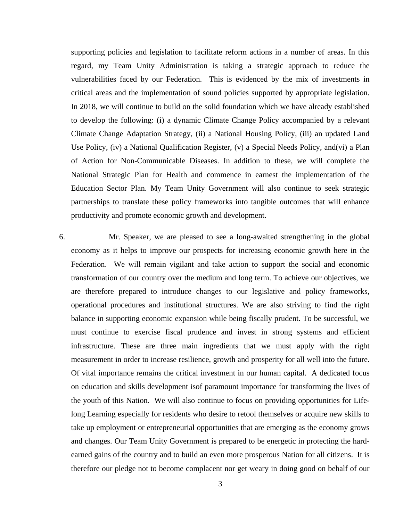supporting policies and legislation to facilitate reform actions in a number of areas. In this regard, my Team Unity Administration is taking a strategic approach to reduce the vulnerabilities faced by our Federation. This is evidenced by the mix of investments in critical areas and the implementation of sound policies supported by appropriate legislation. In 2018, we will continue to build on the solid foundation which we have already established to develop the following: (i) a dynamic Climate Change Policy accompanied by a relevant Climate Change Adaptation Strategy, (ii) a National Housing Policy, (iii) an updated Land Use Policy, (iv) a National Qualification Register, (v) a Special Needs Policy, and(vi) a Plan of Action for Non-Communicable Diseases. In addition to these, we will complete the National Strategic Plan for Health and commence in earnest the implementation of the Education Sector Plan. My Team Unity Government will also continue to seek strategic partnerships to translate these policy frameworks into tangible outcomes that will enhance productivity and promote economic growth and development.

6. Mr. Speaker, we are pleased to see a long-awaited strengthening in the global economy as it helps to improve our prospects for increasing economic growth here in the Federation. We will remain vigilant and take action to support the social and economic transformation of our country over the medium and long term. To achieve our objectives, we are therefore prepared to introduce changes to our legislative and policy frameworks, operational procedures and institutional structures. We are also striving to find the right balance in supporting economic expansion while being fiscally prudent. To be successful, we must continue to exercise fiscal prudence and invest in strong systems and efficient infrastructure. These are three main ingredients that we must apply with the right measurement in order to increase resilience, growth and prosperity for all well into the future. Of vital importance remains the critical investment in our human capital. A dedicated focus on education and skills development isof paramount importance for transforming the lives of the youth of this Nation. We will also continue to focus on providing opportunities for Lifelong Learning especially for residents who desire to retool themselves or acquire new skills to take up employment or entrepreneurial opportunities that are emerging as the economy grows and changes. Our Team Unity Government is prepared to be energetic in protecting the hardearned gains of the country and to build an even more prosperous Nation for all citizens. It is therefore our pledge not to become complacent nor get weary in doing good on behalf of our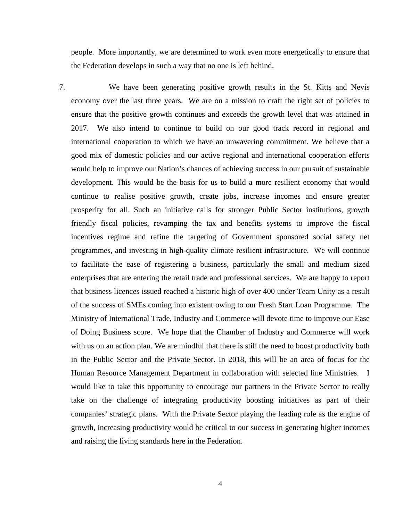people. More importantly, we are determined to work even more energetically to ensure that the Federation develops in such a way that no one is left behind.

7. We have been generating positive growth results in the St. Kitts and Nevis economy over the last three years. We are on a mission to craft the right set of policies to ensure that the positive growth continues and exceeds the growth level that was attained in 2017. We also intend to continue to build on our good track record in regional and international cooperation to which we have an unwavering commitment. We believe that a good mix of domestic policies and our active regional and international cooperation efforts would help to improve our Nation's chances of achieving success in our pursuit of sustainable development. This would be the basis for us to build a more resilient economy that would continue to realise positive growth, create jobs, increase incomes and ensure greater prosperity for all. Such an initiative calls for stronger Public Sector institutions, growth friendly fiscal policies, revamping the tax and benefits systems to improve the fiscal incentives regime and refine the targeting of Government sponsored social safety net programmes, and investing in high-quality climate resilient infrastructure. We will continue to facilitate the ease of registering a business, particularly the small and medium sized enterprises that are entering the retail trade and professional services. We are happy to report that business licences issued reached a historic high of over 400 under Team Unity as a result of the success of SMEs coming into existent owing to our Fresh Start Loan Programme. The Ministry of International Trade, Industry and Commerce will devote time to improve our Ease of Doing Business score. We hope that the Chamber of Industry and Commerce will work with us on an action plan. We are mindful that there is still the need to boost productivity both in the Public Sector and the Private Sector. In 2018, this will be an area of focus for the Human Resource Management Department in collaboration with selected line Ministries. I would like to take this opportunity to encourage our partners in the Private Sector to really take on the challenge of integrating productivity boosting initiatives as part of their companies' strategic plans. With the Private Sector playing the leading role as the engine of growth, increasing productivity would be critical to our success in generating higher incomes and raising the living standards here in the Federation.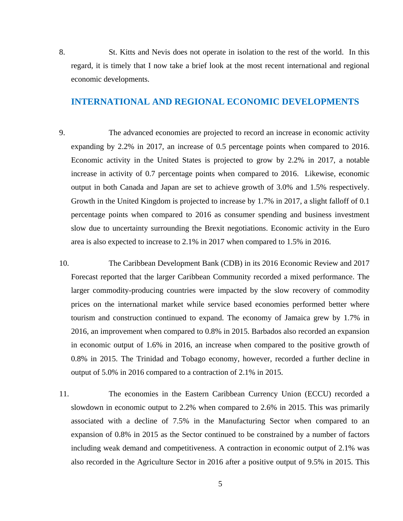8. St. Kitts and Nevis does not operate in isolation to the rest of the world. In this regard, it is timely that I now take a brief look at the most recent international and regional economic developments.

#### **INTERNATIONAL AND REGIONAL ECONOMIC DEVELOPMENTS**

- 9. The advanced economies are projected to record an increase in economic activity expanding by 2.2% in 2017, an increase of 0.5 percentage points when compared to 2016. Economic activity in the United States is projected to grow by 2.2% in 2017, a notable increase in activity of 0.7 percentage points when compared to 2016. Likewise, economic output in both Canada and Japan are set to achieve growth of 3.0% and 1.5% respectively. Growth in the United Kingdom is projected to increase by 1.7% in 2017, a slight falloff of 0.1 percentage points when compared to 2016 as consumer spending and business investment slow due to uncertainty surrounding the Brexit negotiations. Economic activity in the Euro area is also expected to increase to 2.1% in 2017 when compared to 1.5% in 2016.
- 10. The Caribbean Development Bank (CDB) in its 2016 Economic Review and 2017 Forecast reported that the larger Caribbean Community recorded a mixed performance. The larger commodity-producing countries were impacted by the slow recovery of commodity prices on the international market while service based economies performed better where tourism and construction continued to expand. The economy of Jamaica grew by 1.7% in 2016, an improvement when compared to 0.8% in 2015. Barbados also recorded an expansion in economic output of 1.6% in 2016, an increase when compared to the positive growth of 0.8% in 2015. The Trinidad and Tobago economy, however, recorded a further decline in output of 5.0% in 2016 compared to a contraction of 2.1% in 2015.
- 11. The economies in the Eastern Caribbean Currency Union (ECCU) recorded a slowdown in economic output to 2.2% when compared to 2.6% in 2015. This was primarily associated with a decline of 7.5% in the Manufacturing Sector when compared to an expansion of 0.8% in 2015 as the Sector continued to be constrained by a number of factors including weak demand and competitiveness. A contraction in economic output of 2.1% was also recorded in the Agriculture Sector in 2016 after a positive output of 9.5% in 2015. This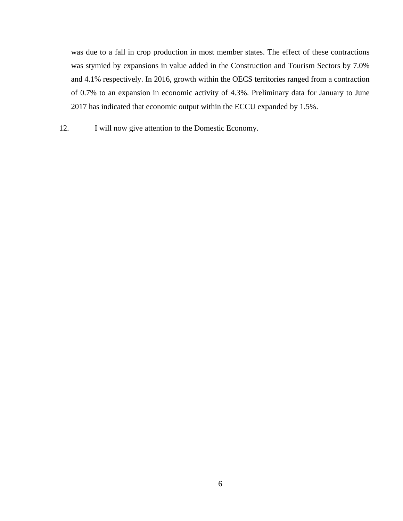was due to a fall in crop production in most member states. The effect of these contractions was stymied by expansions in value added in the Construction and Tourism Sectors by 7.0% and 4.1% respectively. In 2016, growth within the OECS territories ranged from a contraction of 0.7% to an expansion in economic activity of 4.3%. Preliminary data for January to June 2017 has indicated that economic output within the ECCU expanded by 1.5%.

12. I will now give attention to the Domestic Economy.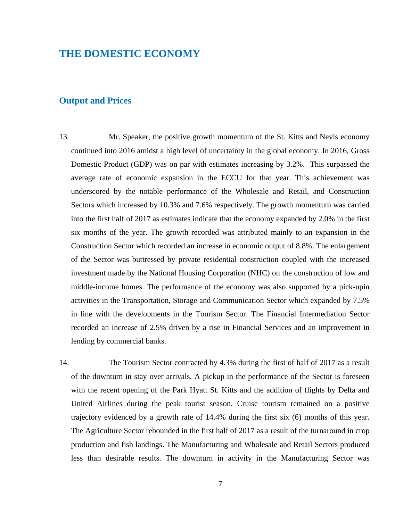# **THE DOMESTIC ECONOMY**

#### **Output and Prices**

- 13. Mr. Speaker, the positive growth momentum of the St. Kitts and Nevis economy continued into 2016 amidst a high level of uncertainty in the global economy. In 2016, Gross Domestic Product (GDP) was on par with estimates increasing by 3.2%. This surpassed the average rate of economic expansion in the ECCU for that year. This achievement was underscored by the notable performance of the Wholesale and Retail, and Construction Sectors which increased by 10.3% and 7.6% respectively. The growth momentum was carried into the first half of 2017 as estimates indicate that the economy expanded by 2.0% in the first six months of the year. The growth recorded was attributed mainly to an expansion in the Construction Sector which recorded an increase in economic output of 8.8%. The enlargement of the Sector was buttressed by private residential construction coupled with the increased investment made by the National Housing Corporation (NHC) on the construction of low and middle-income homes. The performance of the economy was also supported by a pick-upin activities in the Transportation, Storage and Communication Sector which expanded by 7.5% in line with the developments in the Tourism Sector. The Financial Intermediation Sector recorded an increase of 2.5% driven by a rise in Financial Services and an improvement in lending by commercial banks.
- 14. The Tourism Sector contracted by 4.3% during the first of half of 2017 as a result of the downturn in stay over arrivals. A pickup in the performance of the Sector is foreseen with the recent opening of the Park Hyatt St. Kitts and the addition of flights by Delta and United Airlines during the peak tourist season. Cruise tourism remained on a positive trajectory evidenced by a growth rate of 14.4% during the first six (6) months of this year. The Agriculture Sector rebounded in the first half of 2017 as a result of the turnaround in crop production and fish landings. The Manufacturing and Wholesale and Retail Sectors produced less than desirable results. The downturn in activity in the Manufacturing Sector was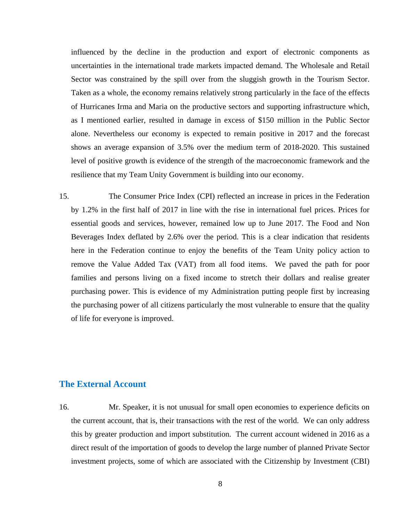influenced by the decline in the production and export of electronic components as uncertainties in the international trade markets impacted demand. The Wholesale and Retail Sector was constrained by the spill over from the sluggish growth in the Tourism Sector. Taken as a whole, the economy remains relatively strong particularly in the face of the effects of Hurricanes Irma and Maria on the productive sectors and supporting infrastructure which, as I mentioned earlier, resulted in damage in excess of \$150 million in the Public Sector alone. Nevertheless our economy is expected to remain positive in 2017 and the forecast shows an average expansion of 3.5% over the medium term of 2018-2020. This sustained level of positive growth is evidence of the strength of the macroeconomic framework and the resilience that my Team Unity Government is building into our economy.

15. The Consumer Price Index (CPI) reflected an increase in prices in the Federation by 1.2% in the first half of 2017 in line with the rise in international fuel prices. Prices for essential goods and services, however, remained low up to June 2017. The Food and Non Beverages Index deflated by 2.6% over the period. This is a clear indication that residents here in the Federation continue to enjoy the benefits of the Team Unity policy action to remove the Value Added Tax (VAT) from all food items. We paved the path for poor families and persons living on a fixed income to stretch their dollars and realise greater purchasing power. This is evidence of my Administration putting people first by increasing the purchasing power of all citizens particularly the most vulnerable to ensure that the quality of life for everyone is improved.

#### **The External Account**

16. Mr. Speaker, it is not unusual for small open economies to experience deficits on the current account, that is, their transactions with the rest of the world. We can only address this by greater production and import substitution. The current account widened in 2016 as a direct result of the importation of goods to develop the large number of planned Private Sector investment projects, some of which are associated with the Citizenship by Investment (CBI)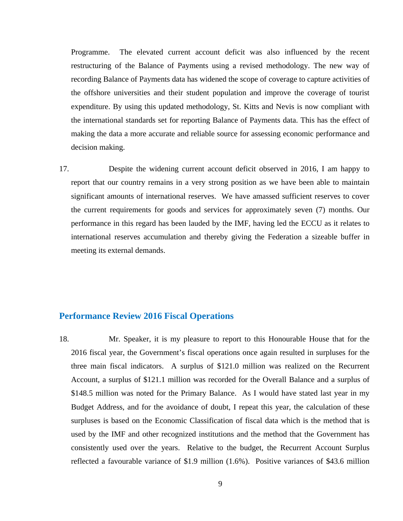Programme. The elevated current account deficit was also influenced by the recent restructuring of the Balance of Payments using a revised methodology. The new way of recording Balance of Payments data has widened the scope of coverage to capture activities of the offshore universities and their student population and improve the coverage of tourist expenditure. By using this updated methodology, St. Kitts and Nevis is now compliant with the international standards set for reporting Balance of Payments data. This has the effect of making the data a more accurate and reliable source for assessing economic performance and decision making.

17. Despite the widening current account deficit observed in 2016, I am happy to report that our country remains in a very strong position as we have been able to maintain significant amounts of international reserves. We have amassed sufficient reserves to cover the current requirements for goods and services for approximately seven (7) months. Our performance in this regard has been lauded by the IMF, having led the ECCU as it relates to international reserves accumulation and thereby giving the Federation a sizeable buffer in meeting its external demands.

#### **Performance Review 2016 Fiscal Operations**

18. Mr. Speaker, it is my pleasure to report to this Honourable House that for the 2016 fiscal year, the Government's fiscal operations once again resulted in surpluses for the three main fiscal indicators. A surplus of \$121.0 million was realized on the Recurrent Account, a surplus of \$121.1 million was recorded for the Overall Balance and a surplus of \$148.5 million was noted for the Primary Balance. As I would have stated last year in my Budget Address, and for the avoidance of doubt, I repeat this year, the calculation of these surpluses is based on the Economic Classification of fiscal data which is the method that is used by the IMF and other recognized institutions and the method that the Government has consistently used over the years. Relative to the budget, the Recurrent Account Surplus reflected a favourable variance of \$1.9 million (1.6%). Positive variances of \$43.6 million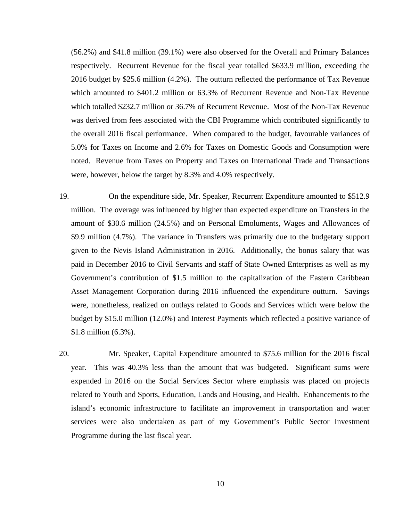(56.2%) and \$41.8 million (39.1%) were also observed for the Overall and Primary Balances respectively. Recurrent Revenue for the fiscal year totalled \$633.9 million, exceeding the 2016 budget by \$25.6 million (4.2%). The outturn reflected the performance of Tax Revenue which amounted to \$401.2 million or 63.3% of Recurrent Revenue and Non-Tax Revenue which totalled \$232.7 million or 36.7% of Recurrent Revenue. Most of the Non-Tax Revenue was derived from fees associated with the CBI Programme which contributed significantly to the overall 2016 fiscal performance. When compared to the budget, favourable variances of 5.0% for Taxes on Income and 2.6% for Taxes on Domestic Goods and Consumption were noted. Revenue from Taxes on Property and Taxes on International Trade and Transactions were, however, below the target by 8.3% and 4.0% respectively.

- 19. On the expenditure side, Mr. Speaker, Recurrent Expenditure amounted to \$512.9 million. The overage was influenced by higher than expected expenditure on Transfers in the amount of \$30.6 million (24.5%) and on Personal Emoluments, Wages and Allowances of \$9.9 million (4.7%). The variance in Transfers was primarily due to the budgetary support given to the Nevis Island Administration in 2016. Additionally, the bonus salary that was paid in December 2016 to Civil Servants and staff of State Owned Enterprises as well as my Government's contribution of \$1.5 million to the capitalization of the Eastern Caribbean Asset Management Corporation during 2016 influenced the expenditure outturn. Savings were, nonetheless, realized on outlays related to Goods and Services which were below the budget by \$15.0 million (12.0%) and Interest Payments which reflected a positive variance of \$1.8 million (6.3%).
- 20. Mr. Speaker, Capital Expenditure amounted to \$75.6 million for the 2016 fiscal year. This was 40.3% less than the amount that was budgeted. Significant sums were expended in 2016 on the Social Services Sector where emphasis was placed on projects related to Youth and Sports, Education, Lands and Housing, and Health. Enhancements to the island's economic infrastructure to facilitate an improvement in transportation and water services were also undertaken as part of my Government's Public Sector Investment Programme during the last fiscal year.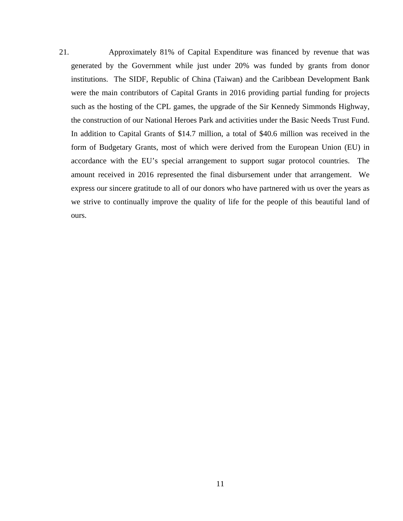21. Approximately 81% of Capital Expenditure was financed by revenue that was generated by the Government while just under 20% was funded by grants from donor institutions. The SIDF, Republic of China (Taiwan) and the Caribbean Development Bank were the main contributors of Capital Grants in 2016 providing partial funding for projects such as the hosting of the CPL games, the upgrade of the Sir Kennedy Simmonds Highway, the construction of our National Heroes Park and activities under the Basic Needs Trust Fund. In addition to Capital Grants of \$14.7 million, a total of \$40.6 million was received in the form of Budgetary Grants, most of which were derived from the European Union (EU) in accordance with the EU's special arrangement to support sugar protocol countries. The amount received in 2016 represented the final disbursement under that arrangement. We express our sincere gratitude to all of our donors who have partnered with us over the years as we strive to continually improve the quality of life for the people of this beautiful land of ours.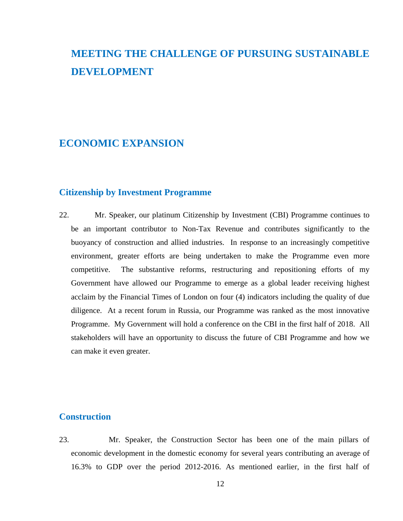# **MEETING THE CHALLENGE OF PURSUING SUSTAINABLE DEVELOPMENT**

# **ECONOMIC EXPANSION**

#### **Citizenship by Investment Programme**

22. Mr. Speaker, our platinum Citizenship by Investment (CBI) Programme continues to be an important contributor to Non-Tax Revenue and contributes significantly to the buoyancy of construction and allied industries. In response to an increasingly competitive environment, greater efforts are being undertaken to make the Programme even more competitive. The substantive reforms, restructuring and repositioning efforts of my Government have allowed our Programme to emerge as a global leader receiving highest acclaim by the Financial Times of London on four (4) indicators including the quality of due diligence. At a recent forum in Russia, our Programme was ranked as the most innovative Programme. My Government will hold a conference on the CBI in the first half of 2018. All stakeholders will have an opportunity to discuss the future of CBI Programme and how we can make it even greater.

#### **Construction**

23. Mr. Speaker, the Construction Sector has been one of the main pillars of economic development in the domestic economy for several years contributing an average of 16.3% to GDP over the period 2012-2016. As mentioned earlier, in the first half of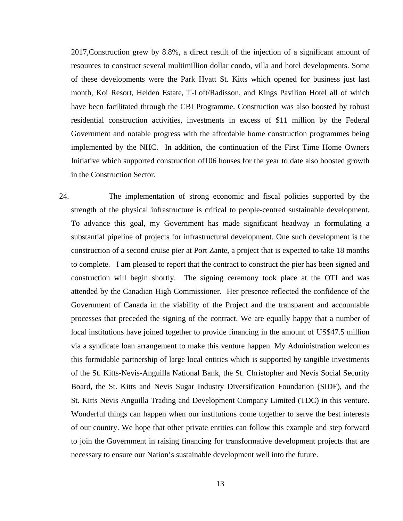2017,Construction grew by 8.8%, a direct result of the injection of a significant amount of resources to construct several multimillion dollar condo, villa and hotel developments. Some of these developments were the Park Hyatt St. Kitts which opened for business just last month, Koi Resort, Helden Estate, T-Loft/Radisson, and Kings Pavilion Hotel all of which have been facilitated through the CBI Programme. Construction was also boosted by robust residential construction activities, investments in excess of \$11 million by the Federal Government and notable progress with the affordable home construction programmes being implemented by the NHC. In addition, the continuation of the First Time Home Owners Initiative which supported construction of106 houses for the year to date also boosted growth in the Construction Sector.

24. The implementation of strong economic and fiscal policies supported by the strength of the physical infrastructure is critical to people-centred sustainable development. To advance this goal, my Government has made significant headway in formulating a substantial pipeline of projects for infrastructural development. One such development is the construction of a second cruise pier at Port Zante, a project that is expected to take 18 months to complete. I am pleased to report that the contract to construct the pier has been signed and construction will begin shortly. The signing ceremony took place at the OTI and was attended by the Canadian High Commissioner. Her presence reflected the confidence of the Government of Canada in the viability of the Project and the transparent and accountable processes that preceded the signing of the contract. We are equally happy that a number of local institutions have joined together to provide financing in the amount of US\$47.5 million via a syndicate loan arrangement to make this venture happen. My Administration welcomes this formidable partnership of large local entities which is supported by tangible investments of the St. Kitts-Nevis-Anguilla National Bank, the St. Christopher and Nevis Social Security Board, the St. Kitts and Nevis Sugar Industry Diversification Foundation (SIDF), and the St. Kitts Nevis Anguilla Trading and Development Company Limited (TDC) in this venture. Wonderful things can happen when our institutions come together to serve the best interests of our country. We hope that other private entities can follow this example and step forward to join the Government in raising financing for transformative development projects that are necessary to ensure our Nation's sustainable development well into the future.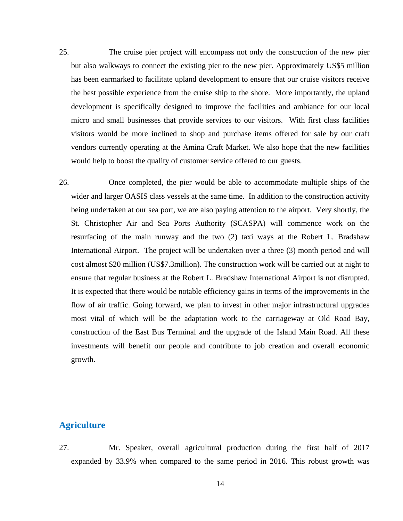- 25. The cruise pier project will encompass not only the construction of the new pier but also walkways to connect the existing pier to the new pier. Approximately US\$5 million has been earmarked to facilitate upland development to ensure that our cruise visitors receive the best possible experience from the cruise ship to the shore. More importantly, the upland development is specifically designed to improve the facilities and ambiance for our local micro and small businesses that provide services to our visitors. With first class facilities visitors would be more inclined to shop and purchase items offered for sale by our craft vendors currently operating at the Amina Craft Market. We also hope that the new facilities would help to boost the quality of customer service offered to our guests.
- 26. Once completed, the pier would be able to accommodate multiple ships of the wider and larger OASIS class vessels at the same time. In addition to the construction activity being undertaken at our sea port, we are also paying attention to the airport. Very shortly, the St. Christopher Air and Sea Ports Authority (SCASPA) will commence work on the resurfacing of the main runway and the two (2) taxi ways at the Robert L. Bradshaw International Airport. The project will be undertaken over a three (3) month period and will cost almost \$20 million (US\$7.3million). The construction work will be carried out at night to ensure that regular business at the Robert L. Bradshaw International Airport is not disrupted. It is expected that there would be notable efficiency gains in terms of the improvements in the flow of air traffic. Going forward, we plan to invest in other major infrastructural upgrades most vital of which will be the adaptation work to the carriageway at Old Road Bay, construction of the East Bus Terminal and the upgrade of the Island Main Road. All these investments will benefit our people and contribute to job creation and overall economic growth.

## **Agriculture**

27. Mr. Speaker, overall agricultural production during the first half of 2017 expanded by 33.9% when compared to the same period in 2016. This robust growth was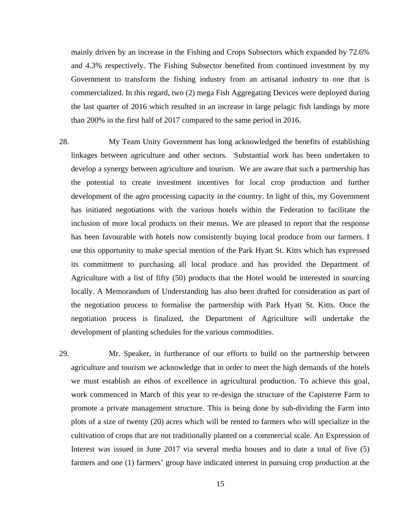mainly driven by an increase in the Fishing and Crops Subsectors which expanded by 72.6% and 4.3% respectively. The Fishing Subsector benefited from continued investment by my Government to transform the fishing industry from an artisanal industry to one that is commercialized. In this regard, two (2) mega Fish Aggregating Devices were deployed during the last quarter of 2016 which resulted in an increase in large pelagic fish landings by more than 200% in the first half of 2017 compared to the same period in 2016.

- 28. My Team Unity Government has long acknowledged the benefits of establishing linkages between agriculture and other sectors. Substantial work has been undertaken to develop a synergy between agriculture and tourism. We are aware that such a partnership has the potential to create investment incentives for local crop production and further development of the agro processing capacity in the country. In light of this, my Government has initiated negotiations with the various hotels within the Federation to facilitate the inclusion of more local products on their menus. We are pleased to report that the response has been favourable with hotels now consistently buying local produce from our farmers. I use this opportunity to make special mention of the Park Hyatt St. Kitts which has expressed its commitment to purchasing all local produce and has provided the Department of Agriculture with a list of fifty (50) products that the Hotel would be interested in sourcing locally. A Memorandum of Understanding has also been drafted for consideration as part of the negotiation process to formalise the partnership with Park Hyatt St. Kitts. Once the negotiation process is finalized, the Department of Agriculture will undertake the development of planting schedules for the various commodities.
- 29. Mr. Speaker, in furtherance of our efforts to build on the partnership between agriculture and tourism we acknowledge that in order to meet the high demands of the hotels we must establish an ethos of excellence in agricultural production. To achieve this goal, work commenced in March of this year to re-design the structure of the Capisterre Farm to promote a private management structure. This is being done by sub-dividing the Farm into plots of a size of twenty (20) acres which will be rented to farmers who will specialize in the cultivation of crops that are not traditionally planted on a commercial scale. An Expression of Interest was issued in June 2017 via several media houses and to date a total of five (5) farmers and one (1) farmers' group have indicated interest in pursuing crop production at the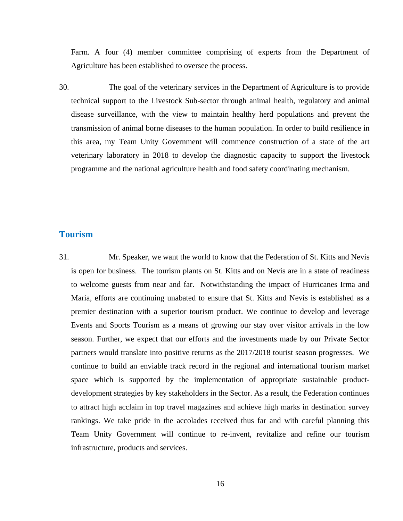Farm. A four (4) member committee comprising of experts from the Department of Agriculture has been established to oversee the process.

30. The goal of the veterinary services in the Department of Agriculture is to provide technical support to the Livestock Sub-sector through animal health, regulatory and animal disease surveillance, with the view to maintain healthy herd populations and prevent the transmission of animal borne diseases to the human population. In order to build resilience in this area, my Team Unity Government will commence construction of a state of the art veterinary laboratory in 2018 to develop the diagnostic capacity to support the livestock programme and the national agriculture health and food safety coordinating mechanism.

#### **Tourism**

31. Mr. Speaker, we want the world to know that the Federation of St. Kitts and Nevis is open for business. The tourism plants on St. Kitts and on Nevis are in a state of readiness to welcome guests from near and far. Notwithstanding the impact of Hurricanes Irma and Maria, efforts are continuing unabated to ensure that St. Kitts and Nevis is established as a premier destination with a superior tourism product. We continue to develop and leverage Events and Sports Tourism as a means of growing our stay over visitor arrivals in the low season. Further, we expect that our efforts and the investments made by our Private Sector partners would translate into positive returns as the 2017/2018 tourist season progresses. We continue to build an enviable track record in the regional and international tourism market space which is supported by the implementation of appropriate sustainable productdevelopment strategies by key stakeholders in the Sector. As a result, the Federation continues to attract high acclaim in top travel magazines and achieve high marks in destination survey rankings. We take pride in the accolades received thus far and with careful planning this Team Unity Government will continue to re-invent, revitalize and refine our tourism infrastructure, products and services.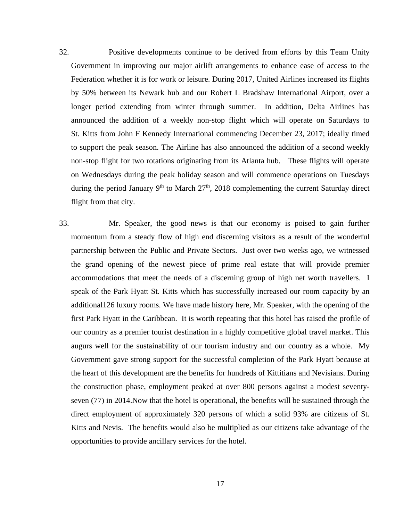32. Positive developments continue to be derived from efforts by this Team Unity Government in improving our major airlift arrangements to enhance ease of access to the Federation whether it is for work or leisure. During 2017, United Airlines increased its flights by 50% between its Newark hub and our Robert L Bradshaw International Airport, over a longer period extending from winter through summer. In addition, Delta Airlines has announced the addition of a weekly non-stop flight which will operate on Saturdays to St. Kitts from John F Kennedy International commencing December 23, 2017; ideally timed to support the peak season. The Airline has also announced the addition of a second weekly non-stop flight for two rotations originating from its Atlanta hub. These flights will operate on Wednesdays during the peak holiday season and will commence operations on Tuesdays during the period January  $9<sup>th</sup>$  to March  $27<sup>th</sup>$ , 2018 complementing the current Saturday direct flight from that city.

33. Mr. Speaker, the good news is that our economy is poised to gain further momentum from a steady flow of high end discerning visitors as a result of the wonderful partnership between the Public and Private Sectors. Just over two weeks ago, we witnessed the grand opening of the newest piece of prime real estate that will provide premier accommodations that meet the needs of a discerning group of high net worth travellers. I speak of the Park Hyatt St. Kitts which has successfully increased our room capacity by an additional126 luxury rooms. We have made history here, Mr. Speaker, with the opening of the first Park Hyatt in the Caribbean. It is worth repeating that this hotel has raised the profile of our country as a premier tourist destination in a highly competitive global travel market. This augurs well for the sustainability of our tourism industry and our country as a whole. My Government gave strong support for the successful completion of the Park Hyatt because at the heart of this development are the benefits for hundreds of Kittitians and Nevisians. During the construction phase, employment peaked at over 800 persons against a modest seventyseven (77) in 2014.Now that the hotel is operational, the benefits will be sustained through the direct employment of approximately 320 persons of which a solid 93% are citizens of St. Kitts and Nevis. The benefits would also be multiplied as our citizens take advantage of the opportunities to provide ancillary services for the hotel.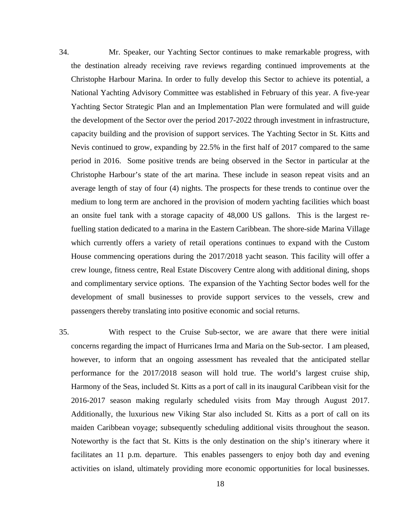34. Mr. Speaker, our Yachting Sector continues to make remarkable progress, with the destination already receiving rave reviews regarding continued improvements at the Christophe Harbour Marina. In order to fully develop this Sector to achieve its potential, a National Yachting Advisory Committee was established in February of this year. A five-year Yachting Sector Strategic Plan and an Implementation Plan were formulated and will guide the development of the Sector over the period 2017-2022 through investment in infrastructure, capacity building and the provision of support services. The Yachting Sector in St. Kitts and Nevis continued to grow, expanding by 22.5% in the first half of 2017 compared to the same period in 2016. Some positive trends are being observed in the Sector in particular at the Christophe Harbour's state of the art marina. These include in season repeat visits and an average length of stay of four (4) nights. The prospects for these trends to continue over the medium to long term are anchored in the provision of modern yachting facilities which boast an onsite fuel tank with a storage capacity of 48,000 US gallons. This is the largest refuelling station dedicated to a marina in the Eastern Caribbean. The shore-side Marina Village which currently offers a variety of retail operations continues to expand with the Custom House commencing operations during the 2017/2018 yacht season. This facility will offer a crew lounge, fitness centre, Real Estate Discovery Centre along with additional dining, shops and complimentary service options. The expansion of the Yachting Sector bodes well for the development of small businesses to provide support services to the vessels, crew and passengers thereby translating into positive economic and social returns.

35. With respect to the Cruise Sub-sector, we are aware that there were initial concerns regarding the impact of Hurricanes Irma and Maria on the Sub-sector. I am pleased, however, to inform that an ongoing assessment has revealed that the anticipated stellar performance for the 2017/2018 season will hold true. The world's largest cruise ship, Harmony of the Seas, included St. Kitts as a port of call in its inaugural Caribbean visit for the 2016-2017 season making regularly scheduled visits from May through August 2017. Additionally, the luxurious new Viking Star also included St. Kitts as a port of call on its maiden Caribbean voyage; subsequently scheduling additional visits throughout the season. Noteworthy is the fact that St. Kitts is the only destination on the ship's itinerary where it facilitates an 11 p.m. departure. This enables passengers to enjoy both day and evening activities on island, ultimately providing more economic opportunities for local businesses.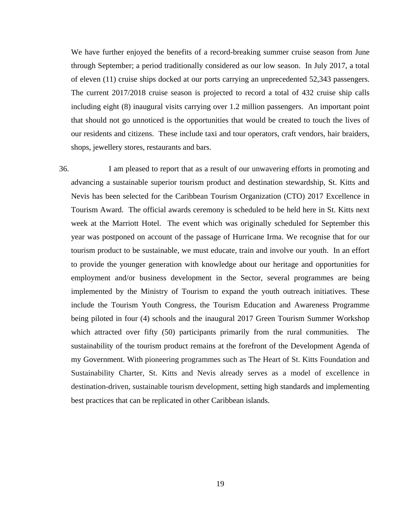We have further enjoyed the benefits of a record-breaking summer cruise season from June through September; a period traditionally considered as our low season. In July 2017, a total of eleven (11) cruise ships docked at our ports carrying an unprecedented 52,343 passengers. The current 2017/2018 cruise season is projected to record a total of 432 cruise ship calls including eight (8) inaugural visits carrying over 1.2 million passengers. An important point that should not go unnoticed is the opportunities that would be created to touch the lives of our residents and citizens. These include taxi and tour operators, craft vendors, hair braiders, shops, jewellery stores, restaurants and bars.

36. I am pleased to report that as a result of our unwavering efforts in promoting and advancing a sustainable superior tourism product and destination stewardship, St. Kitts and Nevis has been selected for the Caribbean Tourism Organization (CTO) 2017 Excellence in Tourism Award. The official awards ceremony is scheduled to be held here in St. Kitts next week at the Marriott Hotel. The event which was originally scheduled for September this year was postponed on account of the passage of Hurricane Irma. We recognise that for our tourism product to be sustainable, we must educate, train and involve our youth. In an effort to provide the younger generation with knowledge about our heritage and opportunities for employment and/or business development in the Sector, several programmes are being implemented by the Ministry of Tourism to expand the youth outreach initiatives. These include the Tourism Youth Congress, the Tourism Education and Awareness Programme being piloted in four (4) schools and the inaugural 2017 Green Tourism Summer Workshop which attracted over fifty (50) participants primarily from the rural communities. The sustainability of the tourism product remains at the forefront of the Development Agenda of my Government. With pioneering programmes such as The Heart of St. Kitts Foundation and Sustainability Charter, St. Kitts and Nevis already serves as a model of excellence in destination-driven, sustainable tourism development, setting high standards and implementing best practices that can be replicated in other Caribbean islands.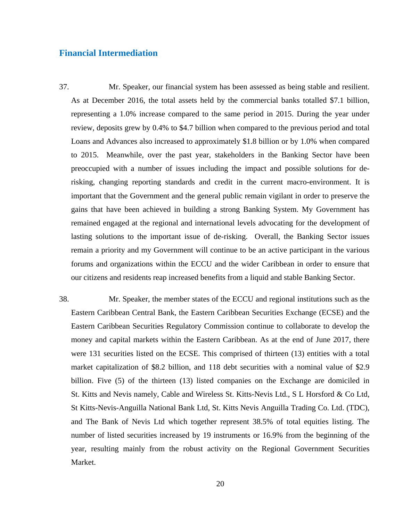#### **Financial Intermediation**

- 37. Mr. Speaker, our financial system has been assessed as being stable and resilient. As at December 2016, the total assets held by the commercial banks totalled \$7.1 billion, representing a 1.0% increase compared to the same period in 2015. During the year under review, deposits grew by 0.4% to \$4.7 billion when compared to the previous period and total Loans and Advances also increased to approximately \$1.8 billion or by 1.0% when compared to 2015. Meanwhile, over the past year, stakeholders in the Banking Sector have been preoccupied with a number of issues including the impact and possible solutions for derisking, changing reporting standards and credit in the current macro-environment. It is important that the Government and the general public remain vigilant in order to preserve the gains that have been achieved in building a strong Banking System. My Government has remained engaged at the regional and international levels advocating for the development of lasting solutions to the important issue of de-risking. Overall, the Banking Sector issues remain a priority and my Government will continue to be an active participant in the various forums and organizations within the ECCU and the wider Caribbean in order to ensure that our citizens and residents reap increased benefits from a liquid and stable Banking Sector.
- 38. Mr. Speaker, the member states of the ECCU and regional institutions such as the Eastern Caribbean Central Bank, the Eastern Caribbean Securities Exchange (ECSE) and the Eastern Caribbean Securities Regulatory Commission continue to collaborate to develop the money and capital markets within the Eastern Caribbean. As at the end of June 2017, there were 131 securities listed on the ECSE. This comprised of thirteen (13) entities with a total market capitalization of \$8.2 billion, and 118 debt securities with a nominal value of \$2.9 billion. Five (5) of the thirteen (13) listed companies on the Exchange are domiciled in St. Kitts and Nevis namely, Cable and Wireless St. Kitts-Nevis Ltd., S L Horsford & Co Ltd, St Kitts-Nevis-Anguilla National Bank Ltd, St. Kitts Nevis Anguilla Trading Co. Ltd. (TDC), and The Bank of Nevis Ltd which together represent 38.5% of total equities listing. The number of listed securities increased by 19 instruments or 16.9% from the beginning of the year, resulting mainly from the robust activity on the Regional Government Securities Market.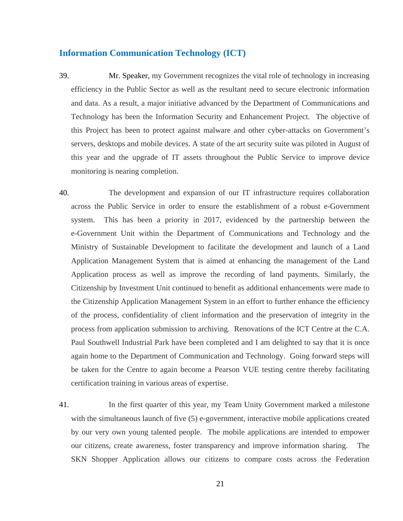#### **Information Communication Technology (ICT)**

- 39. Mr. Speaker, my Government recognizes the vital role of technology in increasing efficiency in the Public Sector as well as the resultant need to secure electronic information and data. As a result, a major initiative advanced by the Department of Communications and Technology has been the Information Security and Enhancement Project. The objective of this Project has been to protect against malware and other cyber-attacks on Government's servers, desktops and mobile devices. A state of the art security suite was piloted in August of this year and the upgrade of IT assets throughout the Public Service to improve device monitoring is nearing completion.
- 40. The development and expansion of our IT infrastructure requires collaboration across the Public Service in order to ensure the establishment of a robust e-Government system. This has been a priority in 2017, evidenced by the partnership between the e-Government Unit within the Department of Communications and Technology and the Ministry of Sustainable Development to facilitate the development and launch of a Land Application Management System that is aimed at enhancing the management of the Land Application process as well as improve the recording of land payments. Similarly, the Citizenship by Investment Unit continued to benefit as additional enhancements were made to the Citizenship Application Management System in an effort to further enhance the efficiency of the process, confidentiality of client information and the preservation of integrity in the process from application submission to archiving. Renovations of the ICT Centre at the C.A. Paul Southwell Industrial Park have been completed and I am delighted to say that it is once again home to the Department of Communication and Technology. Going forward steps will be taken for the Centre to again become a Pearson VUE testing centre thereby facilitating certification training in various areas of expertise.
- 41. In the first quarter of this year, my Team Unity Government marked a milestone with the simultaneous launch of five (5) e-government, interactive mobile applications created by our very own young talented people. The mobile applications are intended to empower our citizens, create awareness, foster transparency and improve information sharing. The SKN Shopper Application allows our citizens to compare costs across the Federation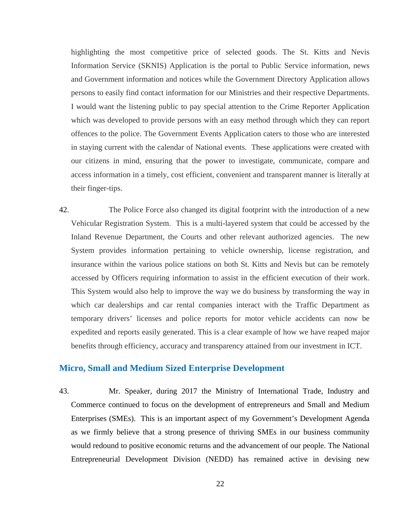highlighting the most competitive price of selected goods. The St. Kitts and Nevis Information Service (SKNIS) Application is the portal to Public Service information, news and Government information and notices while the Government Directory Application allows persons to easily find contact information for our Ministries and their respective Departments. I would want the listening public to pay special attention to the Crime Reporter Application which was developed to provide persons with an easy method through which they can report offences to the police. The Government Events Application caters to those who are interested in staying current with the calendar of National events. These applications were created with our citizens in mind, ensuring that the power to investigate, communicate, compare and access information in a timely, cost efficient, convenient and transparent manner is literally at their finger-tips.

42. The Police Force also changed its digital footprint with the introduction of a new Vehicular Registration System. This is a multi-layered system that could be accessed by the Inland Revenue Department, the Courts and other relevant authorized agencies. The new System provides information pertaining to vehicle ownership, license registration, and insurance within the various police stations on both St. Kitts and Nevis but can be remotely accessed by Officers requiring information to assist in the efficient execution of their work. This System would also help to improve the way we do business by transforming the way in which car dealerships and car rental companies interact with the Traffic Department as temporary drivers' licenses and police reports for motor vehicle accidents can now be expedited and reports easily generated. This is a clear example of how we have reaped major benefits through efficiency, accuracy and transparency attained from our investment in ICT.

#### **Micro, Small and Medium Sized Enterprise Development**

43. Mr. Speaker, during 2017 the Ministry of International Trade, Industry and Commerce continued to focus on the development of entrepreneurs and Small and Medium Enterprises (SMEs). This is an important aspect of my Government's Development Agenda as we firmly believe that a strong presence of thriving SMEs in our business community would redound to positive economic returns and the advancement of our people. The National Entrepreneurial Development Division (NEDD) has remained active in devising new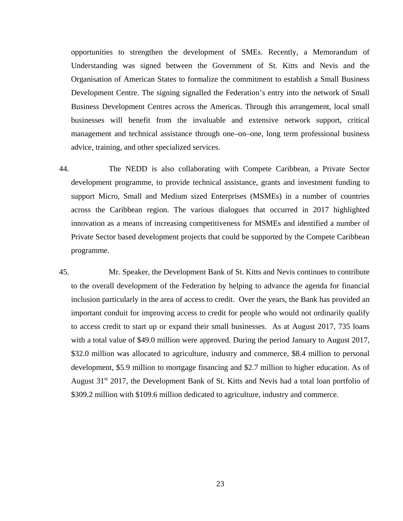opportunities to strengthen the development of SMEs. Recently, a Memorandum of Understanding was signed between the Government of St. Kitts and Nevis and the Organisation of American States to formalize the commitment to establish a Small Business Development Centre. The signing signalled the Federation's entry into the network of Small Business Development Centres across the Americas. Through this arrangement, local small businesses will benefit from the invaluable and extensive network support, critical management and technical assistance through one–on–one, long term professional business advice, training, and other specialized services.

- 44. The NEDD is also collaborating with Compete Caribbean, a Private Sector development programme, to provide technical assistance, grants and investment funding to support Micro, Small and Medium sized Enterprises (MSMEs) in a number of countries across the Caribbean region. The various dialogues that occurred in 2017 highlighted innovation as a means of increasing competitiveness for MSMEs and identified a number of Private Sector based development projects that could be supported by the Compete Caribbean programme.
- 45. Mr. Speaker, the Development Bank of St. Kitts and Nevis continues to contribute to the overall development of the Federation by helping to advance the agenda for financial inclusion particularly in the area of access to credit. Over the years, the Bank has provided an important conduit for improving access to credit for people who would not ordinarily qualify to access credit to start up or expand their small businesses. As at August 2017, 735 loans with a total value of \$49.0 million were approved. During the period January to August 2017, \$32.0 million was allocated to agriculture, industry and commerce, \$8.4 million to personal development, \$5.9 million to mortgage financing and \$2.7 million to higher education. As of August  $31<sup>st</sup>$  2017, the Development Bank of St. Kitts and Nevis had a total loan portfolio of \$309.2 million with \$109.6 million dedicated to agriculture, industry and commerce.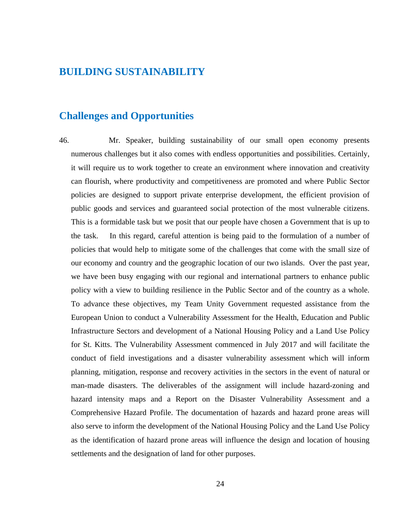### **BUILDING SUSTAINABILITY**

### **Challenges and Opportunities**

46. Mr. Speaker, building sustainability of our small open economy presents numerous challenges but it also comes with endless opportunities and possibilities. Certainly, it will require us to work together to create an environment where innovation and creativity can flourish, where productivity and competitiveness are promoted and where Public Sector policies are designed to support private enterprise development, the efficient provision of public goods and services and guaranteed social protection of the most vulnerable citizens. This is a formidable task but we posit that our people have chosen a Government that is up to the task. In this regard, careful attention is being paid to the formulation of a number of policies that would help to mitigate some of the challenges that come with the small size of our economy and country and the geographic location of our two islands. Over the past year, we have been busy engaging with our regional and international partners to enhance public policy with a view to building resilience in the Public Sector and of the country as a whole. To advance these objectives, my Team Unity Government requested assistance from the European Union to conduct a Vulnerability Assessment for the Health, Education and Public Infrastructure Sectors and development of a National Housing Policy and a Land Use Policy for St. Kitts. The Vulnerability Assessment commenced in July 2017 and will facilitate the conduct of field investigations and a disaster vulnerability assessment which will inform planning, mitigation, response and recovery activities in the sectors in the event of natural or man-made disasters. The deliverables of the assignment will include hazard-zoning and hazard intensity maps and a Report on the Disaster Vulnerability Assessment and a Comprehensive Hazard Profile. The documentation of hazards and hazard prone areas will also serve to inform the development of the National Housing Policy and the Land Use Policy as the identification of hazard prone areas will influence the design and location of housing settlements and the designation of land for other purposes.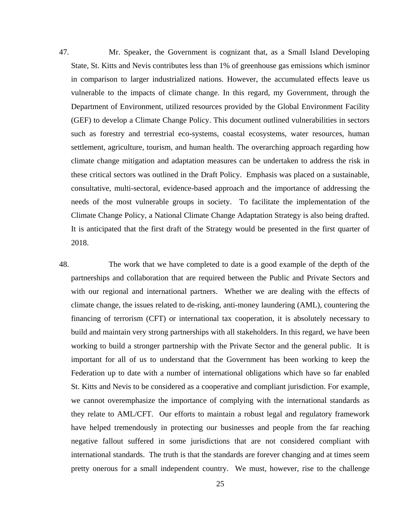47. Mr. Speaker, the Government is cognizant that, as a Small Island Developing State, St. Kitts and Nevis contributes less than 1% of greenhouse gas emissions which isminor in comparison to larger industrialized nations. However, the accumulated effects leave us vulnerable to the impacts of climate change. In this regard, my Government, through the Department of Environment, utilized resources provided by the Global Environment Facility (GEF) to develop a Climate Change Policy. This document outlined vulnerabilities in sectors such as forestry and terrestrial eco-systems, coastal ecosystems, water resources, human settlement, agriculture, tourism, and human health. The overarching approach regarding how climate change mitigation and adaptation measures can be undertaken to address the risk in these critical sectors was outlined in the Draft Policy. Emphasis was placed on a sustainable, consultative, multi-sectoral, evidence-based approach and the importance of addressing the needs of the most vulnerable groups in society. To facilitate the implementation of the Climate Change Policy, a National Climate Change Adaptation Strategy is also being drafted. It is anticipated that the first draft of the Strategy would be presented in the first quarter of 2018.

48. The work that we have completed to date is a good example of the depth of the partnerships and collaboration that are required between the Public and Private Sectors and with our regional and international partners. Whether we are dealing with the effects of climate change, the issues related to de-risking, anti-money laundering (AML), countering the financing of terrorism (CFT) or international tax cooperation, it is absolutely necessary to build and maintain very strong partnerships with all stakeholders. In this regard, we have been working to build a stronger partnership with the Private Sector and the general public. It is important for all of us to understand that the Government has been working to keep the Federation up to date with a number of international obligations which have so far enabled St. Kitts and Nevis to be considered as a cooperative and compliant jurisdiction. For example, we cannot overemphasize the importance of complying with the international standards as they relate to AML/CFT. Our efforts to maintain a robust legal and regulatory framework have helped tremendously in protecting our businesses and people from the far reaching negative fallout suffered in some jurisdictions that are not considered compliant with international standards. The truth is that the standards are forever changing and at times seem pretty onerous for a small independent country. We must, however, rise to the challenge

25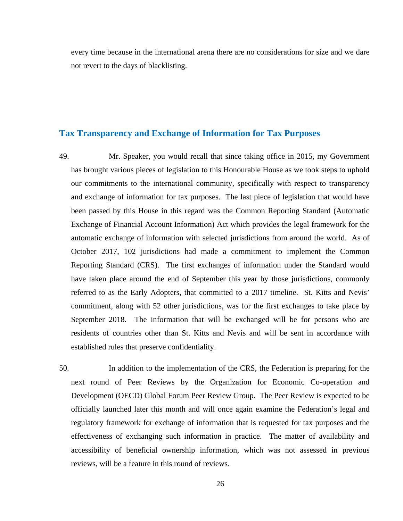every time because in the international arena there are no considerations for size and we dare not revert to the days of blacklisting.

#### **Tax Transparency and Exchange of Information for Tax Purposes**

- 49. Mr. Speaker, you would recall that since taking office in 2015, my Government has brought various pieces of legislation to this Honourable House as we took steps to uphold our commitments to the international community, specifically with respect to transparency and exchange of information for tax purposes. The last piece of legislation that would have been passed by this House in this regard was the Common Reporting Standard (Automatic Exchange of Financial Account Information) Act which provides the legal framework for the automatic exchange of information with selected jurisdictions from around the world. As of October 2017, 102 jurisdictions had made a commitment to implement the Common Reporting Standard (CRS). The first exchanges of information under the Standard would have taken place around the end of September this year by those jurisdictions, commonly referred to as the Early Adopters, that committed to a 2017 timeline. St. Kitts and Nevis' commitment, along with 52 other jurisdictions, was for the first exchanges to take place by September 2018. The information that will be exchanged will be for persons who are residents of countries other than St. Kitts and Nevis and will be sent in accordance with established rules that preserve confidentiality.
- 50. In addition to the implementation of the CRS, the Federation is preparing for the next round of Peer Reviews by the Organization for Economic Co-operation and Development (OECD) Global Forum Peer Review Group. The Peer Review is expected to be officially launched later this month and will once again examine the Federation's legal and regulatory framework for exchange of information that is requested for tax purposes and the effectiveness of exchanging such information in practice. The matter of availability and accessibility of beneficial ownership information, which was not assessed in previous reviews, will be a feature in this round of reviews.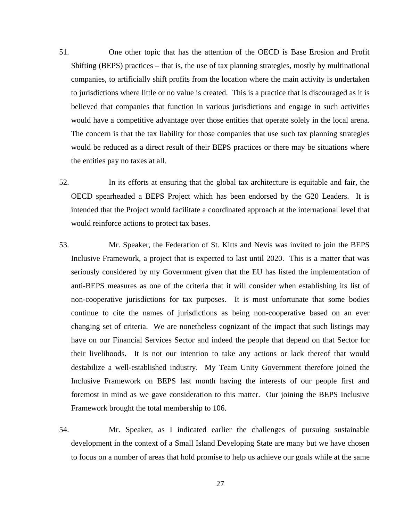- 51. One other topic that has the attention of the OECD is Base Erosion and Profit Shifting (BEPS) practices – that is, the use of tax planning strategies, mostly by multinational companies, to artificially shift profits from the location where the main activity is undertaken to jurisdictions where little or no value is created. This is a practice that is discouraged as it is believed that companies that function in various jurisdictions and engage in such activities would have a competitive advantage over those entities that operate solely in the local arena. The concern is that the tax liability for those companies that use such tax planning strategies would be reduced as a direct result of their BEPS practices or there may be situations where the entities pay no taxes at all.
- 52. In its efforts at ensuring that the global tax architecture is equitable and fair, the OECD spearheaded a BEPS Project which has been endorsed by the G20 Leaders. It is intended that the Project would facilitate a coordinated approach at the international level that would reinforce actions to protect tax bases.
- 53. Mr. Speaker, the Federation of St. Kitts and Nevis was invited to join the BEPS Inclusive Framework, a project that is expected to last until 2020. This is a matter that was seriously considered by my Government given that the EU has listed the implementation of anti-BEPS measures as one of the criteria that it will consider when establishing its list of non-cooperative jurisdictions for tax purposes. It is most unfortunate that some bodies continue to cite the names of jurisdictions as being non-cooperative based on an ever changing set of criteria. We are nonetheless cognizant of the impact that such listings may have on our Financial Services Sector and indeed the people that depend on that Sector for their livelihoods. It is not our intention to take any actions or lack thereof that would destabilize a well-established industry. My Team Unity Government therefore joined the Inclusive Framework on BEPS last month having the interests of our people first and foremost in mind as we gave consideration to this matter. Our joining the BEPS Inclusive Framework brought the total membership to 106.
- 54. Mr. Speaker, as I indicated earlier the challenges of pursuing sustainable development in the context of a Small Island Developing State are many but we have chosen to focus on a number of areas that hold promise to help us achieve our goals while at the same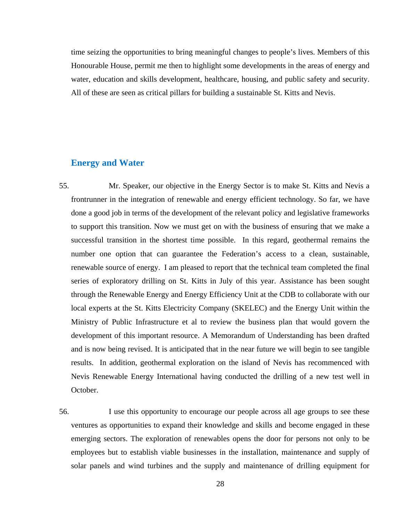time seizing the opportunities to bring meaningful changes to people's lives. Members of this Honourable House, permit me then to highlight some developments in the areas of energy and water, education and skills development, healthcare, housing, and public safety and security. All of these are seen as critical pillars for building a sustainable St. Kitts and Nevis.

#### **Energy and Water**

- 55. Mr. Speaker, our objective in the Energy Sector is to make St. Kitts and Nevis a frontrunner in the integration of renewable and energy efficient technology. So far, we have done a good job in terms of the development of the relevant policy and legislative frameworks to support this transition. Now we must get on with the business of ensuring that we make a successful transition in the shortest time possible. In this regard, geothermal remains the number one option that can guarantee the Federation's access to a clean, sustainable, renewable source of energy. I am pleased to report that the technical team completed the final series of exploratory drilling on St. Kitts in July of this year. Assistance has been sought through the Renewable Energy and Energy Efficiency Unit at the CDB to collaborate with our local experts at the St. Kitts Electricity Company (SKELEC) and the Energy Unit within the Ministry of Public Infrastructure et al to review the business plan that would govern the development of this important resource. A Memorandum of Understanding has been drafted and is now being revised. It is anticipated that in the near future we will begin to see tangible results. In addition, geothermal exploration on the island of Nevis has recommenced with Nevis Renewable Energy International having conducted the drilling of a new test well in October.
- 56. I use this opportunity to encourage our people across all age groups to see these ventures as opportunities to expand their knowledge and skills and become engaged in these emerging sectors. The exploration of renewables opens the door for persons not only to be employees but to establish viable businesses in the installation, maintenance and supply of solar panels and wind turbines and the supply and maintenance of drilling equipment for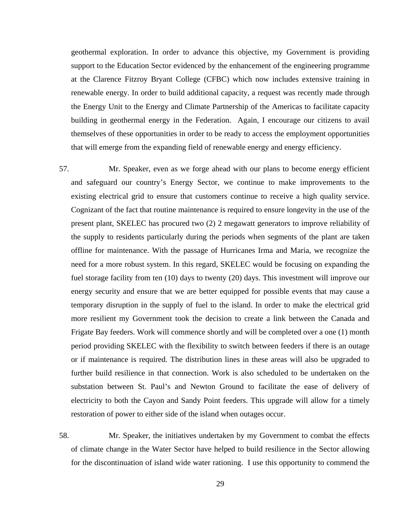geothermal exploration. In order to advance this objective, my Government is providing support to the Education Sector evidenced by the enhancement of the engineering programme at the Clarence Fitzroy Bryant College (CFBC) which now includes extensive training in renewable energy. In order to build additional capacity, a request was recently made through the Energy Unit to the Energy and Climate Partnership of the Americas to facilitate capacity building in geothermal energy in the Federation. Again, I encourage our citizens to avail themselves of these opportunities in order to be ready to access the employment opportunities that will emerge from the expanding field of renewable energy and energy efficiency.

57. Mr. Speaker, even as we forge ahead with our plans to become energy efficient and safeguard our country's Energy Sector, we continue to make improvements to the existing electrical grid to ensure that customers continue to receive a high quality service. Cognizant of the fact that routine maintenance is required to ensure longevity in the use of the present plant, SKELEC has procured two (2) 2 megawatt generators to improve reliability of the supply to residents particularly during the periods when segments of the plant are taken offline for maintenance. With the passage of Hurricanes Irma and Maria, we recognize the need for a more robust system. In this regard, SKELEC would be focusing on expanding the fuel storage facility from ten (10) days to twenty (20) days. This investment will improve our energy security and ensure that we are better equipped for possible events that may cause a temporary disruption in the supply of fuel to the island. In order to make the electrical grid more resilient my Government took the decision to create a link between the Canada and Frigate Bay feeders. Work will commence shortly and will be completed over a one (1) month period providing SKELEC with the flexibility to switch between feeders if there is an outage or if maintenance is required. The distribution lines in these areas will also be upgraded to further build resilience in that connection. Work is also scheduled to be undertaken on the substation between St. Paul's and Newton Ground to facilitate the ease of delivery of electricity to both the Cayon and Sandy Point feeders. This upgrade will allow for a timely restoration of power to either side of the island when outages occur.

58. Mr. Speaker, the initiatives undertaken by my Government to combat the effects of climate change in the Water Sector have helped to build resilience in the Sector allowing for the discontinuation of island wide water rationing. I use this opportunity to commend the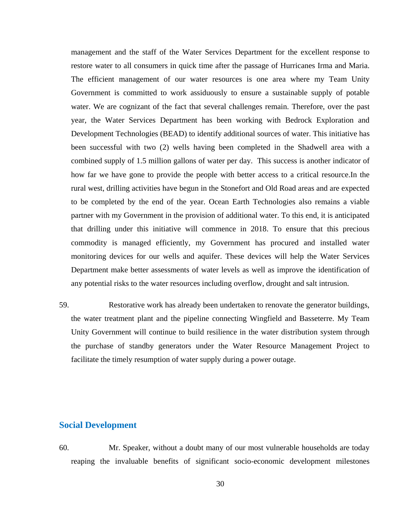management and the staff of the Water Services Department for the excellent response to restore water to all consumers in quick time after the passage of Hurricanes Irma and Maria. The efficient management of our water resources is one area where my Team Unity Government is committed to work assiduously to ensure a sustainable supply of potable water. We are cognizant of the fact that several challenges remain. Therefore, over the past year, the Water Services Department has been working with Bedrock Exploration and Development Technologies (BEAD) to identify additional sources of water. This initiative has been successful with two (2) wells having been completed in the Shadwell area with a combined supply of 1.5 million gallons of water per day. This success is another indicator of how far we have gone to provide the people with better access to a critical resource.In the rural west, drilling activities have begun in the Stonefort and Old Road areas and are expected to be completed by the end of the year. Ocean Earth Technologies also remains a viable partner with my Government in the provision of additional water. To this end, it is anticipated that drilling under this initiative will commence in 2018. To ensure that this precious commodity is managed efficiently, my Government has procured and installed water monitoring devices for our wells and aquifer. These devices will help the Water Services Department make better assessments of water levels as well as improve the identification of any potential risks to the water resources including overflow, drought and salt intrusion.

59. Restorative work has already been undertaken to renovate the generator buildings, the water treatment plant and the pipeline connecting Wingfield and Basseterre. My Team Unity Government will continue to build resilience in the water distribution system through the purchase of standby generators under the Water Resource Management Project to facilitate the timely resumption of water supply during a power outage.

#### **Social Development**

60. Mr. Speaker, without a doubt many of our most vulnerable households are today reaping the invaluable benefits of significant socio-economic development milestones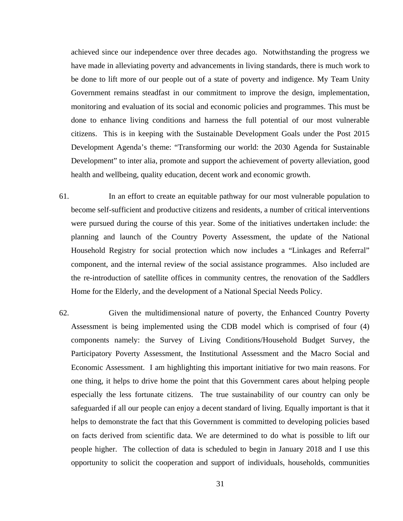achieved since our independence over three decades ago. Notwithstanding the progress we have made in alleviating poverty and advancements in living standards, there is much work to be done to lift more of our people out of a state of poverty and indigence. My Team Unity Government remains steadfast in our commitment to improve the design, implementation, monitoring and evaluation of its social and economic policies and programmes. This must be done to enhance living conditions and harness the full potential of our most vulnerable citizens. This is in keeping with the Sustainable Development Goals under the Post 2015 Development Agenda's theme: "Transforming our world: the 2030 Agenda for Sustainable Development" to inter alia, promote and support the achievement of poverty alleviation, good health and wellbeing, quality education, decent work and economic growth.

- 61. In an effort to create an equitable pathway for our most vulnerable population to become self-sufficient and productive citizens and residents, a number of critical interventions were pursued during the course of this year. Some of the initiatives undertaken include: the planning and launch of the Country Poverty Assessment, the update of the National Household Registry for social protection which now includes a "Linkages and Referral" component, and the internal review of the social assistance programmes. Also included are the re-introduction of satellite offices in community centres, the renovation of the Saddlers Home for the Elderly, and the development of a National Special Needs Policy.
- 62. Given the multidimensional nature of poverty, the Enhanced Country Poverty Assessment is being implemented using the CDB model which is comprised of four (4) components namely: the Survey of Living Conditions/Household Budget Survey, the Participatory Poverty Assessment, the Institutional Assessment and the Macro Social and Economic Assessment. I am highlighting this important initiative for two main reasons. For one thing, it helps to drive home the point that this Government cares about helping people especially the less fortunate citizens. The true sustainability of our country can only be safeguarded if all our people can enjoy a decent standard of living. Equally important is that it helps to demonstrate the fact that this Government is committed to developing policies based on facts derived from scientific data. We are determined to do what is possible to lift our people higher. The collection of data is scheduled to begin in January 2018 and I use this opportunity to solicit the cooperation and support of individuals, households, communities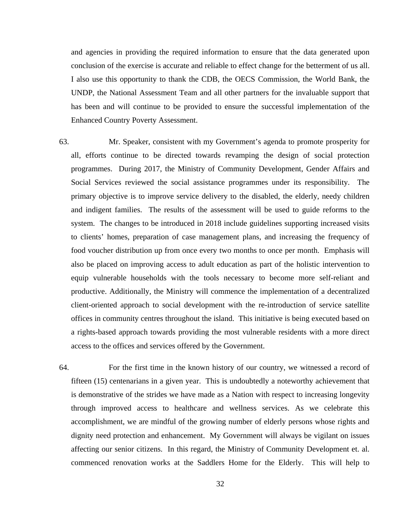and agencies in providing the required information to ensure that the data generated upon conclusion of the exercise is accurate and reliable to effect change for the betterment of us all. I also use this opportunity to thank the CDB, the OECS Commission, the World Bank, the UNDP, the National Assessment Team and all other partners for the invaluable support that has been and will continue to be provided to ensure the successful implementation of the Enhanced Country Poverty Assessment.

- 63. Mr. Speaker, consistent with my Government's agenda to promote prosperity for all, efforts continue to be directed towards revamping the design of social protection programmes. During 2017, the Ministry of Community Development, Gender Affairs and Social Services reviewed the social assistance programmes under its responsibility. The primary objective is to improve service delivery to the disabled, the elderly, needy children and indigent families. The results of the assessment will be used to guide reforms to the system. The changes to be introduced in 2018 include guidelines supporting increased visits to clients' homes, preparation of case management plans, and increasing the frequency of food voucher distribution up from once every two months to once per month. Emphasis will also be placed on improving access to adult education as part of the holistic intervention to equip vulnerable households with the tools necessary to become more self-reliant and productive. Additionally, the Ministry will commence the implementation of a decentralized client-oriented approach to social development with the re-introduction of service satellite offices in community centres throughout the island. This initiative is being executed based on a rights-based approach towards providing the most vulnerable residents with a more direct access to the offices and services offered by the Government.
- 64. For the first time in the known history of our country, we witnessed a record of fifteen (15) centenarians in a given year. This is undoubtedly a noteworthy achievement that is demonstrative of the strides we have made as a Nation with respect to increasing longevity through improved access to healthcare and wellness services. As we celebrate this accomplishment, we are mindful of the growing number of elderly persons whose rights and dignity need protection and enhancement. My Government will always be vigilant on issues affecting our senior citizens. In this regard, the Ministry of Community Development et. al. commenced renovation works at the Saddlers Home for the Elderly. This will help to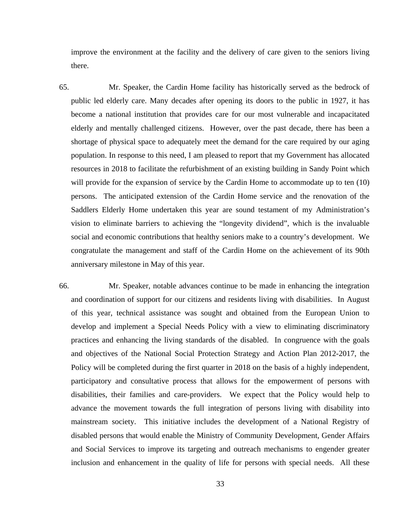improve the environment at the facility and the delivery of care given to the seniors living there.

- 65. Mr. Speaker, the Cardin Home facility has historically served as the bedrock of public led elderly care. Many decades after opening its doors to the public in 1927, it has become a national institution that provides care for our most vulnerable and incapacitated elderly and mentally challenged citizens. However, over the past decade, there has been a shortage of physical space to adequately meet the demand for the care required by our aging population. In response to this need, I am pleased to report that my Government has allocated resources in 2018 to facilitate the refurbishment of an existing building in Sandy Point which will provide for the expansion of service by the Cardin Home to accommodate up to ten (10) persons. The anticipated extension of the Cardin Home service and the renovation of the Saddlers Elderly Home undertaken this year are sound testament of my Administration's vision to eliminate barriers to achieving the "longevity dividend", which is the invaluable social and economic contributions that healthy seniors make to a country's development. We congratulate the management and staff of the Cardin Home on the achievement of its 90th anniversary milestone in May of this year.
- 66. Mr. Speaker, notable advances continue to be made in enhancing the integration and coordination of support for our citizens and residents living with disabilities. In August of this year, technical assistance was sought and obtained from the European Union to develop and implement a Special Needs Policy with a view to eliminating discriminatory practices and enhancing the living standards of the disabled. In congruence with the goals and objectives of the National Social Protection Strategy and Action Plan 2012-2017, the Policy will be completed during the first quarter in 2018 on the basis of a highly independent, participatory and consultative process that allows for the empowerment of persons with disabilities, their families and care-providers. We expect that the Policy would help to advance the movement towards the full integration of persons living with disability into mainstream society. This initiative includes the development of a National Registry of disabled persons that would enable the Ministry of Community Development, Gender Affairs and Social Services to improve its targeting and outreach mechanisms to engender greater inclusion and enhancement in the quality of life for persons with special needs. All these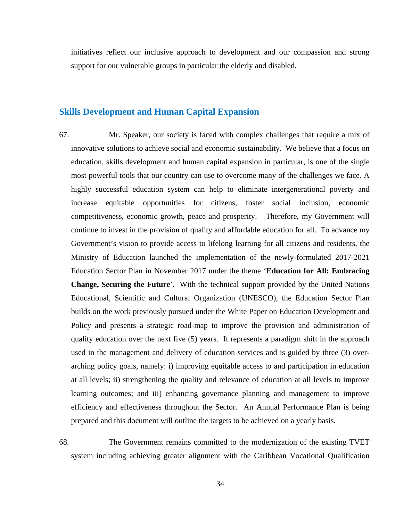initiatives reflect our inclusive approach to development and our compassion and strong support for our vulnerable groups in particular the elderly and disabled.

#### **Skills Development and Human Capital Expansion**

67. Mr. Speaker, our society is faced with complex challenges that require a mix of innovative solutions to achieve social and economic sustainability. We believe that a focus on education, skills development and human capital expansion in particular, is one of the single most powerful tools that our country can use to overcome many of the challenges we face. A highly successful education system can help to eliminate intergenerational poverty and increase equitable opportunities for citizens, foster social inclusion, economic competitiveness, economic growth, peace and prosperity. Therefore, my Government will continue to invest in the provision of quality and affordable education for all. To advance my Government's vision to provide access to lifelong learning for all citizens and residents, the Ministry of Education launched the implementation of the newly-formulated 2017-2021 Education Sector Plan in November 2017 under the theme '**Education for All: Embracing Change, Securing the Future**'. With the technical support provided by the United Nations Educational, Scientific and Cultural Organization (UNESCO), the Education Sector Plan builds on the work previously pursued under the White Paper on Education Development and Policy and presents a strategic road-map to improve the provision and administration of quality education over the next five (5) years. It represents a paradigm shift in the approach used in the management and delivery of education services and is guided by three (3) overarching policy goals, namely: i) improving equitable access to and participation in education at all levels; ii) strengthening the quality and relevance of education at all levels to improve learning outcomes; and iii) enhancing governance planning and management to improve efficiency and effectiveness throughout the Sector. An Annual Performance Plan is being prepared and this document will outline the targets to be achieved on a yearly basis.

68. The Government remains committed to the modernization of the existing TVET system including achieving greater alignment with the Caribbean Vocational Qualification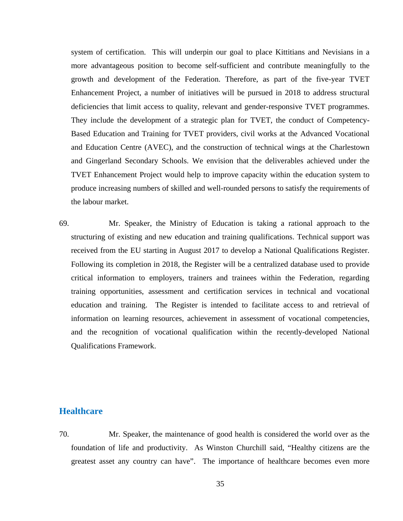system of certification. This will underpin our goal to place Kittitians and Nevisians in a more advantageous position to become self-sufficient and contribute meaningfully to the growth and development of the Federation. Therefore, as part of the five-year TVET Enhancement Project, a number of initiatives will be pursued in 2018 to address structural deficiencies that limit access to quality, relevant and gender-responsive TVET programmes. They include the development of a strategic plan for TVET, the conduct of Competency-Based Education and Training for TVET providers, civil works at the Advanced Vocational and Education Centre (AVEC), and the construction of technical wings at the Charlestown and Gingerland Secondary Schools. We envision that the deliverables achieved under the TVET Enhancement Project would help to improve capacity within the education system to produce increasing numbers of skilled and well-rounded persons to satisfy the requirements of the labour market.

69. Mr. Speaker, the Ministry of Education is taking a rational approach to the structuring of existing and new education and training qualifications. Technical support was received from the EU starting in August 2017 to develop a National Qualifications Register. Following its completion in 2018, the Register will be a centralized database used to provide critical information to employers, trainers and trainees within the Federation, regarding training opportunities, assessment and certification services in technical and vocational education and training. The Register is intended to facilitate access to and retrieval of information on learning resources, achievement in assessment of vocational competencies, and the recognition of vocational qualification within the recently-developed National Qualifications Framework.

#### **Healthcare**

70. Mr. Speaker, the maintenance of good health is considered the world over as the foundation of life and productivity. As Winston Churchill said, "Healthy citizens are the greatest asset any country can have". The importance of healthcare becomes even more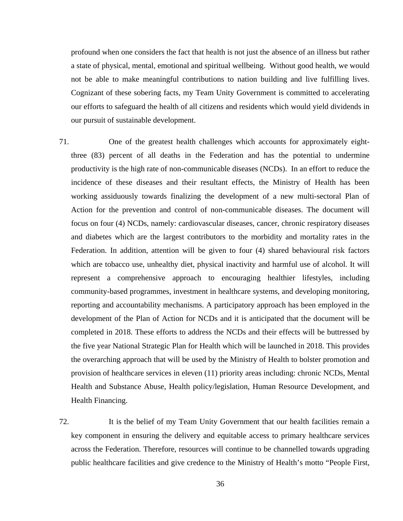profound when one considers the fact that health is not just the absence of an illness but rather a state of physical, mental, emotional and spiritual wellbeing. Without good health, we would not be able to make meaningful contributions to nation building and live fulfilling lives. Cognizant of these sobering facts, my Team Unity Government is committed to accelerating our efforts to safeguard the health of all citizens and residents which would yield dividends in our pursuit of sustainable development.

71. One of the greatest health challenges which accounts for approximately eightthree (83) percent of all deaths in the Federation and has the potential to undermine productivity is the high rate of non-communicable diseases (NCDs). In an effort to reduce the incidence of these diseases and their resultant effects, the Ministry of Health has been working assiduously towards finalizing the development of a new multi-sectoral Plan of Action for the prevention and control of non-communicable diseases. The document will focus on four (4) NCDs, namely: cardiovascular diseases, cancer, chronic respiratory diseases and diabetes which are the largest contributors to the morbidity and mortality rates in the Federation. In addition, attention will be given to four (4) shared behavioural risk factors which are tobacco use, unhealthy diet, physical inactivity and harmful use of alcohol. It will represent a comprehensive approach to encouraging healthier lifestyles, including community-based programmes, investment in healthcare systems, and developing monitoring, reporting and accountability mechanisms. A participatory approach has been employed in the development of the Plan of Action for NCDs and it is anticipated that the document will be completed in 2018. These efforts to address the NCDs and their effects will be buttressed by the five year National Strategic Plan for Health which will be launched in 2018. This provides the overarching approach that will be used by the Ministry of Health to bolster promotion and provision of healthcare services in eleven (11) priority areas including: chronic NCDs, Mental Health and Substance Abuse, Health policy/legislation, Human Resource Development, and Health Financing.

72. It is the belief of my Team Unity Government that our health facilities remain a key component in ensuring the delivery and equitable access to primary healthcare services across the Federation. Therefore, resources will continue to be channelled towards upgrading public healthcare facilities and give credence to the Ministry of Health's motto "People First,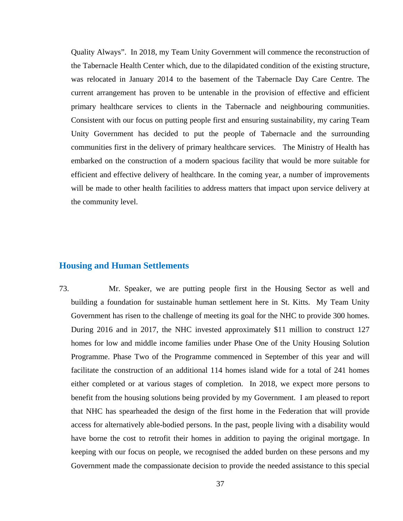Quality Always". In 2018, my Team Unity Government will commence the reconstruction of the Tabernacle Health Center which, due to the dilapidated condition of the existing structure, was relocated in January 2014 to the basement of the Tabernacle Day Care Centre. The current arrangement has proven to be untenable in the provision of effective and efficient primary healthcare services to clients in the Tabernacle and neighbouring communities. Consistent with our focus on putting people first and ensuring sustainability, my caring Team Unity Government has decided to put the people of Tabernacle and the surrounding communities first in the delivery of primary healthcare services. The Ministry of Health has embarked on the construction of a modern spacious facility that would be more suitable for efficient and effective delivery of healthcare. In the coming year, a number of improvements will be made to other health facilities to address matters that impact upon service delivery at the community level.

#### **Housing and Human Settlements**

73. Mr. Speaker, we are putting people first in the Housing Sector as well and building a foundation for sustainable human settlement here in St. Kitts. My Team Unity Government has risen to the challenge of meeting its goal for the NHC to provide 300 homes. During 2016 and in 2017, the NHC invested approximately \$11 million to construct 127 homes for low and middle income families under Phase One of the Unity Housing Solution Programme. Phase Two of the Programme commenced in September of this year and will facilitate the construction of an additional 114 homes island wide for a total of 241 homes either completed or at various stages of completion. In 2018, we expect more persons to benefit from the housing solutions being provided by my Government. I am pleased to report that NHC has spearheaded the design of the first home in the Federation that will provide access for alternatively able-bodied persons. In the past, people living with a disability would have borne the cost to retrofit their homes in addition to paying the original mortgage. In keeping with our focus on people, we recognised the added burden on these persons and my Government made the compassionate decision to provide the needed assistance to this special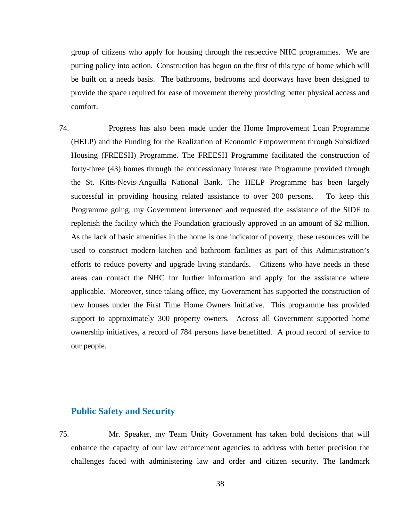group of citizens who apply for housing through the respective NHC programmes. We are putting policy into action. Construction has begun on the first of this type of home which will be built on a needs basis. The bathrooms, bedrooms and doorways have been designed to provide the space required for ease of movement thereby providing better physical access and comfort.

74. Progress has also been made under the Home Improvement Loan Programme (HELP) and the Funding for the Realization of Economic Empowerment through Subsidized Housing (FREESH) Programme. The FREESH Programme facilitated the construction of forty-three (43) homes through the concessionary interest rate Programme provided through the St. Kitts-Nevis-Anguilla National Bank. The HELP Programme has been largely successful in providing housing related assistance to over 200 persons. To keep this Programme going, my Government intervened and requested the assistance of the SIDF to replenish the facility which the Foundation graciously approved in an amount of \$2 million. As the lack of basic amenities in the home is one indicator of poverty, these resources will be used to construct modern kitchen and bathroom facilities as part of this Administration's efforts to reduce poverty and upgrade living standards. Citizens who have needs in these areas can contact the NHC for further information and apply for the assistance where applicable. Moreover, since taking office, my Government has supported the construction of new houses under the First Time Home Owners Initiative. This programme has provided support to approximately 300 property owners. Across all Government supported home ownership initiatives, a record of 784 persons have benefitted. A proud record of service to our people.

#### **Public Safety and Security**

75. Mr. Speaker, my Team Unity Government has taken bold decisions that will enhance the capacity of our law enforcement agencies to address with better precision the challenges faced with administering law and order and citizen security. The landmark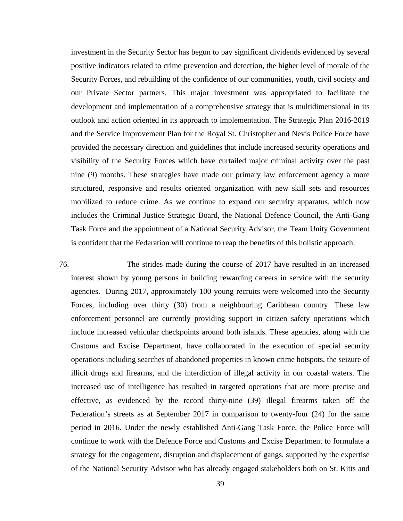investment in the Security Sector has begun to pay significant dividends evidenced by several positive indicators related to crime prevention and detection, the higher level of morale of the Security Forces, and rebuilding of the confidence of our communities, youth, civil society and our Private Sector partners. This major investment was appropriated to facilitate the development and implementation of a comprehensive strategy that is multidimensional in its outlook and action oriented in its approach to implementation. The Strategic Plan 2016-2019 and the Service Improvement Plan for the Royal St. Christopher and Nevis Police Force have provided the necessary direction and guidelines that include increased security operations and visibility of the Security Forces which have curtailed major criminal activity over the past nine (9) months. These strategies have made our primary law enforcement agency a more structured, responsive and results oriented organization with new skill sets and resources mobilized to reduce crime. As we continue to expand our security apparatus, which now includes the Criminal Justice Strategic Board, the National Defence Council, the Anti-Gang Task Force and the appointment of a National Security Advisor, the Team Unity Government is confident that the Federation will continue to reap the benefits of this holistic approach.

76. The strides made during the course of 2017 have resulted in an increased interest shown by young persons in building rewarding careers in service with the security agencies. During 2017, approximately 100 young recruits were welcomed into the Security Forces, including over thirty (30) from a neighbouring Caribbean country. These law enforcement personnel are currently providing support in citizen safety operations which include increased vehicular checkpoints around both islands. These agencies, along with the Customs and Excise Department, have collaborated in the execution of special security operations including searches of abandoned properties in known crime hotspots, the seizure of illicit drugs and firearms, and the interdiction of illegal activity in our coastal waters. The increased use of intelligence has resulted in targeted operations that are more precise and effective, as evidenced by the record thirty-nine (39) illegal firearms taken off the Federation's streets as at September 2017 in comparison to twenty-four (24) for the same period in 2016. Under the newly established Anti-Gang Task Force, the Police Force will continue to work with the Defence Force and Customs and Excise Department to formulate a strategy for the engagement, disruption and displacement of gangs, supported by the expertise of the National Security Advisor who has already engaged stakeholders both on St. Kitts and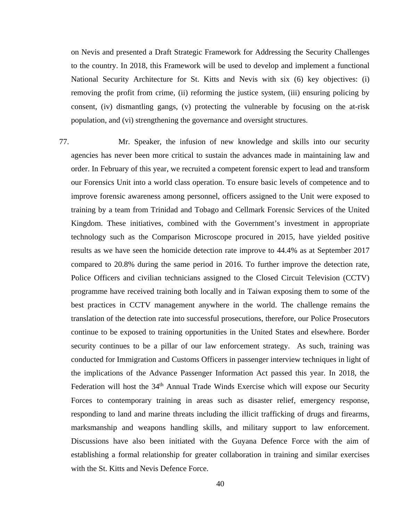on Nevis and presented a Draft Strategic Framework for Addressing the Security Challenges to the country. In 2018, this Framework will be used to develop and implement a functional National Security Architecture for St. Kitts and Nevis with six (6) key objectives: (i) removing the profit from crime, (ii) reforming the justice system, (iii) ensuring policing by consent, (iv) dismantling gangs, (v) protecting the vulnerable by focusing on the at-risk population, and (vi) strengthening the governance and oversight structures.

77. Mr. Speaker, the infusion of new knowledge and skills into our security agencies has never been more critical to sustain the advances made in maintaining law and order. In February of this year, we recruited a competent forensic expert to lead and transform our Forensics Unit into a world class operation. To ensure basic levels of competence and to improve forensic awareness among personnel, officers assigned to the Unit were exposed to training by a team from Trinidad and Tobago and Cellmark Forensic Services of the United Kingdom. These initiatives, combined with the Government's investment in appropriate technology such as the Comparison Microscope procured in 2015, have yielded positive results as we have seen the homicide detection rate improve to 44.4% as at September 2017 compared to 20.8% during the same period in 2016. To further improve the detection rate, Police Officers and civilian technicians assigned to the Closed Circuit Television (CCTV) programme have received training both locally and in Taiwan exposing them to some of the best practices in CCTV management anywhere in the world. The challenge remains the translation of the detection rate into successful prosecutions, therefore, our Police Prosecutors continue to be exposed to training opportunities in the United States and elsewhere. Border security continues to be a pillar of our law enforcement strategy. As such, training was conducted for Immigration and Customs Officers in passenger interview techniques in light of the implications of the Advance Passenger Information Act passed this year. In 2018, the Federation will host the 34<sup>th</sup> Annual Trade Winds Exercise which will expose our Security Forces to contemporary training in areas such as disaster relief, emergency response, responding to land and marine threats including the illicit trafficking of drugs and firearms, marksmanship and weapons handling skills, and military support to law enforcement. Discussions have also been initiated with the Guyana Defence Force with the aim of establishing a formal relationship for greater collaboration in training and similar exercises with the St. Kitts and Nevis Defence Force.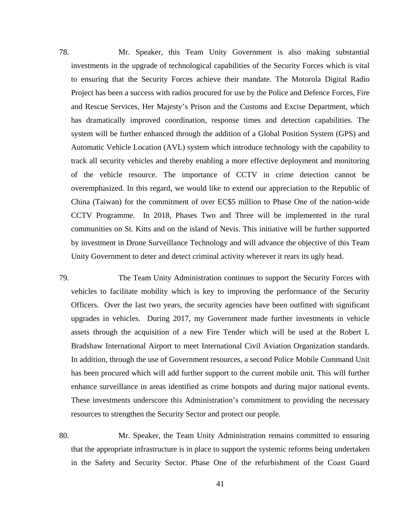78. Mr. Speaker, this Team Unity Government is also making substantial investments in the upgrade of technological capabilities of the Security Forces which is vital to ensuring that the Security Forces achieve their mandate. The Motorola Digital Radio Project has been a success with radios procured for use by the Police and Defence Forces, Fire and Rescue Services, Her Majesty's Prison and the Customs and Excise Department, which has dramatically improved coordination, response times and detection capabilities. The system will be further enhanced through the addition of a Global Position System (GPS) and Automatic Vehicle Location (AVL) system which introduce technology with the capability to track all security vehicles and thereby enabling a more effective deployment and monitoring of the vehicle resource. The importance of CCTV in crime detection cannot be overemphasized. In this regard, we would like to extend our appreciation to the Republic of China (Taiwan) for the commitment of over EC\$5 million to Phase One of the nation-wide CCTV Programme. In 2018, Phases Two and Three will be implemented in the rural communities on St. Kitts and on the island of Nevis. This initiative will be further supported by investment in Drone Surveillance Technology and will advance the objective of this Team Unity Government to deter and detect criminal activity wherever it rears its ugly head.

- 79. The Team Unity Administration continues to support the Security Forces with vehicles to facilitate mobility which is key to improving the performance of the Security Officers. Over the last two years, the security agencies have been outfitted with significant upgrades in vehicles. During 2017, my Government made further investments in vehicle assets through the acquisition of a new Fire Tender which will be used at the Robert L Bradshaw International Airport to meet International Civil Aviation Organization standards. In addition, through the use of Government resources, a second Police Mobile Command Unit has been procured which will add further support to the current mobile unit. This will further enhance surveillance in areas identified as crime hotspots and during major national events. These investments underscore this Administration's commitment to providing the necessary resources to strengthen the Security Sector and protect our people.
- 80. Mr. Speaker, the Team Unity Administration remains committed to ensuring that the appropriate infrastructure is in place to support the systemic reforms being undertaken in the Safety and Security Sector. Phase One of the refurbishment of the Coast Guard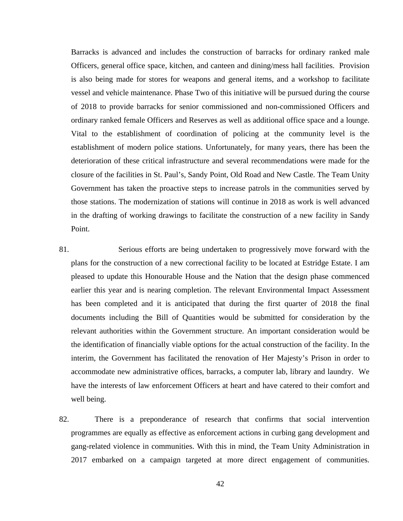Barracks is advanced and includes the construction of barracks for ordinary ranked male Officers, general office space, kitchen, and canteen and dining/mess hall facilities. Provision is also being made for stores for weapons and general items, and a workshop to facilitate vessel and vehicle maintenance. Phase Two of this initiative will be pursued during the course of 2018 to provide barracks for senior commissioned and non-commissioned Officers and ordinary ranked female Officers and Reserves as well as additional office space and a lounge. Vital to the establishment of coordination of policing at the community level is the establishment of modern police stations. Unfortunately, for many years, there has been the deterioration of these critical infrastructure and several recommendations were made for the closure of the facilities in St. Paul's, Sandy Point, Old Road and New Castle. The Team Unity Government has taken the proactive steps to increase patrols in the communities served by those stations. The modernization of stations will continue in 2018 as work is well advanced in the drafting of working drawings to facilitate the construction of a new facility in Sandy Point.

- 81. Serious efforts are being undertaken to progressively move forward with the plans for the construction of a new correctional facility to be located at Estridge Estate. I am pleased to update this Honourable House and the Nation that the design phase commenced earlier this year and is nearing completion. The relevant Environmental Impact Assessment has been completed and it is anticipated that during the first quarter of 2018 the final documents including the Bill of Quantities would be submitted for consideration by the relevant authorities within the Government structure. An important consideration would be the identification of financially viable options for the actual construction of the facility. In the interim, the Government has facilitated the renovation of Her Majesty's Prison in order to accommodate new administrative offices, barracks, a computer lab, library and laundry. We have the interests of law enforcement Officers at heart and have catered to their comfort and well being.
- 82. There is a preponderance of research that confirms that social intervention programmes are equally as effective as enforcement actions in curbing gang development and gang-related violence in communities. With this in mind, the Team Unity Administration in 2017 embarked on a campaign targeted at more direct engagement of communities.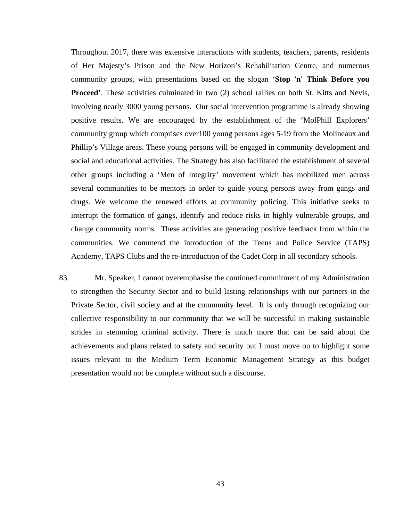Throughout 2017, there was extensive interactions with students, teachers, parents, residents of Her Majesty's Prison and the New Horizon's Rehabilitation Centre, and numerous community groups, with presentations based on the slogan '**Stop 'n' Think Before you Proceed'**. These activities culminated in two (2) school rallies on both St. Kitts and Nevis, involving nearly 3000 young persons. Our social intervention programme is already showing positive results. We are encouraged by the establishment of the 'MolPhill Explorers' community group which comprises over100 young persons ages 5-19 from the Molineaux and Phillip's Village areas. These young persons will be engaged in community development and social and educational activities. The Strategy has also facilitated the establishment of several other groups including a 'Men of Integrity' movement which has mobilized men across several communities to be mentors in order to guide young persons away from gangs and drugs. We welcome the renewed efforts at community policing. This initiative seeks to interrupt the formation of gangs, identify and reduce risks in highly vulnerable groups, and change community norms. These activities are generating positive feedback from within the communities. We commend the introduction of the Teens and Police Service (TAPS) Academy, TAPS Clubs and the re-introduction of the Cadet Corp in all secondary schools.

83. Mr. Speaker, I cannot overemphasise the continued commitment of my Administration to strengthen the Security Sector and to build lasting relationships with our partners in the Private Sector, civil society and at the community level. It is only through recognizing our collective responsibility to our community that we will be successful in making sustainable strides in stemming criminal activity. There is much more that can be said about the achievements and plans related to safety and security but I must move on to highlight some issues relevant to the Medium Term Economic Management Strategy as this budget presentation would not be complete without such a discourse.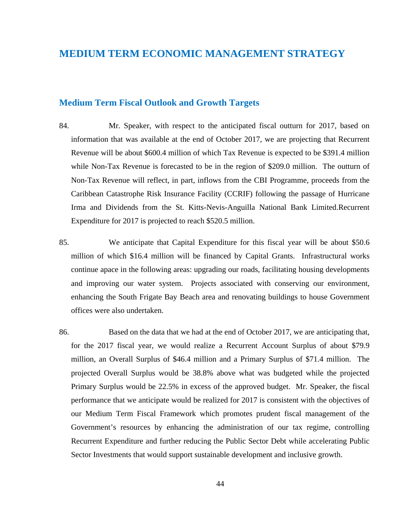# **MEDIUM TERM ECONOMIC MANAGEMENT STRATEGY**

#### **Medium Term Fiscal Outlook and Growth Targets**

- 84. Mr. Speaker, with respect to the anticipated fiscal outturn for 2017, based on information that was available at the end of October 2017, we are projecting that Recurrent Revenue will be about \$600.4 million of which Tax Revenue is expected to be \$391.4 million while Non-Tax Revenue is forecasted to be in the region of \$209.0 million. The outturn of Non-Tax Revenue will reflect, in part, inflows from the CBI Programme, proceeds from the Caribbean Catastrophe Risk Insurance Facility (CCRIF) following the passage of Hurricane Irma and Dividends from the St. Kitts-Nevis-Anguilla National Bank Limited.Recurrent Expenditure for 2017 is projected to reach \$520.5 million.
- 85. We anticipate that Capital Expenditure for this fiscal year will be about \$50.6 million of which \$16.4 million will be financed by Capital Grants. Infrastructural works continue apace in the following areas: upgrading our roads, facilitating housing developments and improving our water system. Projects associated with conserving our environment, enhancing the South Frigate Bay Beach area and renovating buildings to house Government offices were also undertaken.
- 86. Based on the data that we had at the end of October 2017, we are anticipating that, for the 2017 fiscal year, we would realize a Recurrent Account Surplus of about \$79.9 million, an Overall Surplus of \$46.4 million and a Primary Surplus of \$71.4 million. The projected Overall Surplus would be 38.8% above what was budgeted while the projected Primary Surplus would be 22.5% in excess of the approved budget. Mr. Speaker, the fiscal performance that we anticipate would be realized for 2017 is consistent with the objectives of our Medium Term Fiscal Framework which promotes prudent fiscal management of the Government's resources by enhancing the administration of our tax regime, controlling Recurrent Expenditure and further reducing the Public Sector Debt while accelerating Public Sector Investments that would support sustainable development and inclusive growth.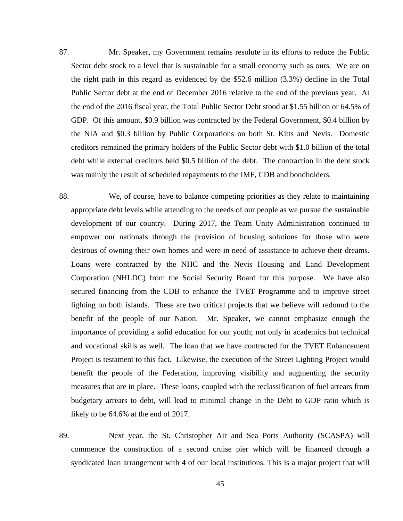- 87. Mr. Speaker, my Government remains resolute in its efforts to reduce the Public Sector debt stock to a level that is sustainable for a small economy such as ours. We are on the right path in this regard as evidenced by the \$52.6 million (3.3%) decline in the Total Public Sector debt at the end of December 2016 relative to the end of the previous year. At the end of the 2016 fiscal year, the Total Public Sector Debt stood at \$1.55 billion or 64.5% of GDP. Of this amount, \$0.9 billion was contracted by the Federal Government, \$0.4 billion by the NIA and \$0.3 billion by Public Corporations on both St. Kitts and Nevis. Domestic creditors remained the primary holders of the Public Sector debt with \$1.0 billion of the total debt while external creditors held \$0.5 billion of the debt. The contraction in the debt stock was mainly the result of scheduled repayments to the IMF, CDB and bondholders.
- 88. We, of course, have to balance competing priorities as they relate to maintaining appropriate debt levels while attending to the needs of our people as we pursue the sustainable development of our country. During 2017, the Team Unity Administration continued to empower our nationals through the provision of housing solutions for those who were desirous of owning their own homes and were in need of assistance to achieve their dreams. Loans were contracted by the NHC and the Nevis Housing and Land Development Corporation (NHLDC) from the Social Security Board for this purpose. We have also secured financing from the CDB to enhance the TVET Programme and to improve street lighting on both islands. These are two critical projects that we believe will redound to the benefit of the people of our Nation. Mr. Speaker, we cannot emphasize enough the importance of providing a solid education for our youth; not only in academics but technical and vocational skills as well. The loan that we have contracted for the TVET Enhancement Project is testament to this fact. Likewise, the execution of the Street Lighting Project would benefit the people of the Federation, improving visibility and augmenting the security measures that are in place. These loans, coupled with the reclassification of fuel arrears from budgetary arrears to debt, will lead to minimal change in the Debt to GDP ratio which is likely to be 64.6% at the end of 2017.
- 89. Next year, the St. Christopher Air and Sea Ports Authority (SCASPA) will commence the construction of a second cruise pier which will be financed through a syndicated loan arrangement with 4 of our local institutions. This is a major project that will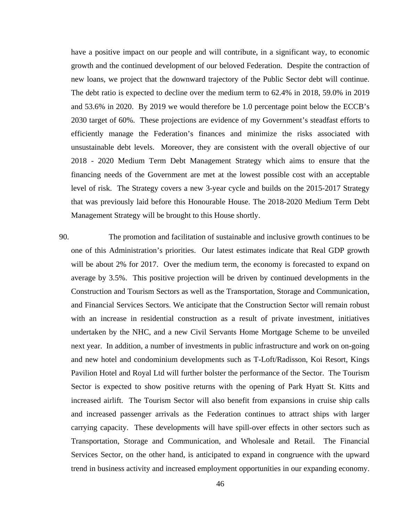have a positive impact on our people and will contribute, in a significant way, to economic growth and the continued development of our beloved Federation. Despite the contraction of new loans, we project that the downward trajectory of the Public Sector debt will continue. The debt ratio is expected to decline over the medium term to 62.4% in 2018, 59.0% in 2019 and 53.6% in 2020. By 2019 we would therefore be 1.0 percentage point below the ECCB's 2030 target of 60%. These projections are evidence of my Government's steadfast efforts to efficiently manage the Federation's finances and minimize the risks associated with unsustainable debt levels. Moreover, they are consistent with the overall objective of our 2018 - 2020 Medium Term Debt Management Strategy which aims to ensure that the financing needs of the Government are met at the lowest possible cost with an acceptable level of risk. The Strategy covers a new 3-year cycle and builds on the 2015-2017 Strategy that was previously laid before this Honourable House. The 2018-2020 Medium Term Debt Management Strategy will be brought to this House shortly.

90. The promotion and facilitation of sustainable and inclusive growth continues to be one of this Administration's priorities. Our latest estimates indicate that Real GDP growth will be about 2% for 2017. Over the medium term, the economy is forecasted to expand on average by 3.5%. This positive projection will be driven by continued developments in the Construction and Tourism Sectors as well as the Transportation, Storage and Communication, and Financial Services Sectors. We anticipate that the Construction Sector will remain robust with an increase in residential construction as a result of private investment, initiatives undertaken by the NHC, and a new Civil Servants Home Mortgage Scheme to be unveiled next year. In addition, a number of investments in public infrastructure and work on on-going and new hotel and condominium developments such as T-Loft/Radisson, Koi Resort, Kings Pavilion Hotel and Royal Ltd will further bolster the performance of the Sector. The Tourism Sector is expected to show positive returns with the opening of Park Hyatt St. Kitts and increased airlift. The Tourism Sector will also benefit from expansions in cruise ship calls and increased passenger arrivals as the Federation continues to attract ships with larger carrying capacity. These developments will have spill-over effects in other sectors such as Transportation, Storage and Communication, and Wholesale and Retail. The Financial Services Sector, on the other hand, is anticipated to expand in congruence with the upward trend in business activity and increased employment opportunities in our expanding economy.

46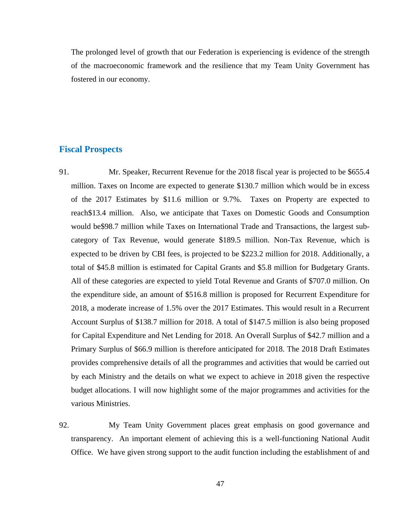The prolonged level of growth that our Federation is experiencing is evidence of the strength of the macroeconomic framework and the resilience that my Team Unity Government has fostered in our economy.

#### **Fiscal Prospects**

- 91. Mr. Speaker, Recurrent Revenue for the 2018 fiscal year is projected to be \$655.4 million. Taxes on Income are expected to generate \$130.7 million which would be in excess of the 2017 Estimates by \$11.6 million or 9.7%. Taxes on Property are expected to reach\$13.4 million. Also, we anticipate that Taxes on Domestic Goods and Consumption would be\$98.7 million while Taxes on International Trade and Transactions, the largest subcategory of Tax Revenue, would generate \$189.5 million. Non-Tax Revenue, which is expected to be driven by CBI fees, is projected to be \$223.2 million for 2018. Additionally, a total of \$45.8 million is estimated for Capital Grants and \$5.8 million for Budgetary Grants. All of these categories are expected to yield Total Revenue and Grants of \$707.0 million. On the expenditure side, an amount of \$516.8 million is proposed for Recurrent Expenditure for 2018, a moderate increase of 1.5% over the 2017 Estimates. This would result in a Recurrent Account Surplus of \$138.7 million for 2018. A total of \$147.5 million is also being proposed for Capital Expenditure and Net Lending for 2018. An Overall Surplus of \$42.7 million and a Primary Surplus of \$66.9 million is therefore anticipated for 2018. The 2018 Draft Estimates provides comprehensive details of all the programmes and activities that would be carried out by each Ministry and the details on what we expect to achieve in 2018 given the respective budget allocations. I will now highlight some of the major programmes and activities for the various Ministries.
- 92. My Team Unity Government places great emphasis on good governance and transparency. An important element of achieving this is a well-functioning National Audit Office. We have given strong support to the audit function including the establishment of and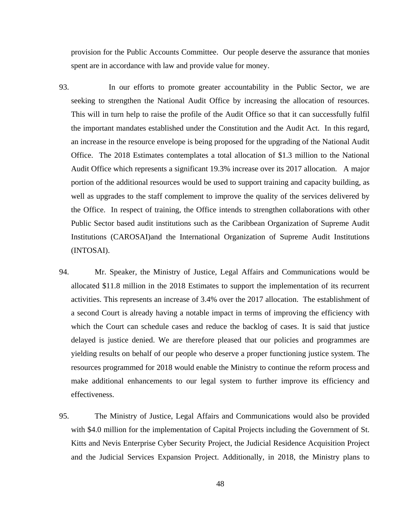provision for the Public Accounts Committee. Our people deserve the assurance that monies spent are in accordance with law and provide value for money.

- 93. In our efforts to promote greater accountability in the Public Sector, we are seeking to strengthen the National Audit Office by increasing the allocation of resources. This will in turn help to raise the profile of the Audit Office so that it can successfully fulfil the important mandates established under the Constitution and the Audit Act. In this regard, an increase in the resource envelope is being proposed for the upgrading of the National Audit Office. The 2018 Estimates contemplates a total allocation of \$1.3 million to the National Audit Office which represents a significant 19.3% increase over its 2017 allocation. A major portion of the additional resources would be used to support training and capacity building, as well as upgrades to the staff complement to improve the quality of the services delivered by the Office. In respect of training, the Office intends to strengthen collaborations with other Public Sector based audit institutions such as the Caribbean Organization of Supreme Audit Institutions (CAROSAI)and the International Organization of Supreme Audit Institutions (INTOSAI).
- 94. Mr. Speaker, the Ministry of Justice, Legal Affairs and Communications would be allocated \$11.8 million in the 2018 Estimates to support the implementation of its recurrent activities. This represents an increase of 3.4% over the 2017 allocation. The establishment of a second Court is already having a notable impact in terms of improving the efficiency with which the Court can schedule cases and reduce the backlog of cases. It is said that justice delayed is justice denied. We are therefore pleased that our policies and programmes are yielding results on behalf of our people who deserve a proper functioning justice system. The resources programmed for 2018 would enable the Ministry to continue the reform process and make additional enhancements to our legal system to further improve its efficiency and effectiveness.
- 95. The Ministry of Justice, Legal Affairs and Communications would also be provided with \$4.0 million for the implementation of Capital Projects including the Government of St. Kitts and Nevis Enterprise Cyber Security Project, the Judicial Residence Acquisition Project and the Judicial Services Expansion Project. Additionally, in 2018, the Ministry plans to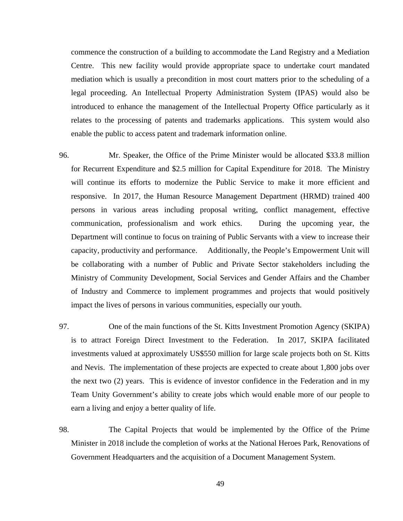commence the construction of a building to accommodate the Land Registry and a Mediation Centre. This new facility would provide appropriate space to undertake court mandated mediation which is usually a precondition in most court matters prior to the scheduling of a legal proceeding. An Intellectual Property Administration System (IPAS) would also be introduced to enhance the management of the Intellectual Property Office particularly as it relates to the processing of patents and trademarks applications. This system would also enable the public to access patent and trademark information online.

- 96. Mr. Speaker, the Office of the Prime Minister would be allocated \$33.8 million for Recurrent Expenditure and \$2.5 million for Capital Expenditure for 2018. The Ministry will continue its efforts to modernize the Public Service to make it more efficient and responsive. In 2017, the Human Resource Management Department (HRMD) trained 400 persons in various areas including proposal writing, conflict management, effective communication, professionalism and work ethics. During the upcoming year, the Department will continue to focus on training of Public Servants with a view to increase their capacity, productivity and performance. Additionally, the People's Empowerment Unit will be collaborating with a number of Public and Private Sector stakeholders including the Ministry of Community Development, Social Services and Gender Affairs and the Chamber of Industry and Commerce to implement programmes and projects that would positively impact the lives of persons in various communities, especially our youth.
- 97. One of the main functions of the St. Kitts Investment Promotion Agency (SKIPA) is to attract Foreign Direct Investment to the Federation. In 2017, SKIPA facilitated investments valued at approximately US\$550 million for large scale projects both on St. Kitts and Nevis. The implementation of these projects are expected to create about 1,800 jobs over the next two (2) years. This is evidence of investor confidence in the Federation and in my Team Unity Government's ability to create jobs which would enable more of our people to earn a living and enjoy a better quality of life.
- 98. The Capital Projects that would be implemented by the Office of the Prime Minister in 2018 include the completion of works at the National Heroes Park, Renovations of Government Headquarters and the acquisition of a Document Management System.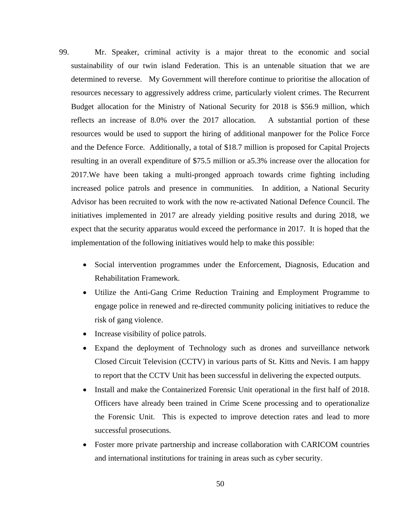- 99. Mr. Speaker, criminal activity is a major threat to the economic and social sustainability of our twin island Federation. This is an untenable situation that we are determined to reverse. My Government will therefore continue to prioritise the allocation of resources necessary to aggressively address crime, particularly violent crimes. The Recurrent Budget allocation for the Ministry of National Security for 2018 is \$56.9 million, which reflects an increase of 8.0% over the 2017 allocation. A substantial portion of these resources would be used to support the hiring of additional manpower for the Police Force and the Defence Force. Additionally, a total of \$18.7 million is proposed for Capital Projects resulting in an overall expenditure of \$75.5 million or a5.3% increase over the allocation for 2017.We have been taking a multi-pronged approach towards crime fighting including increased police patrols and presence in communities. In addition, a National Security Advisor has been recruited to work with the now re-activated National Defence Council. The initiatives implemented in 2017 are already yielding positive results and during 2018, we expect that the security apparatus would exceed the performance in 2017. It is hoped that the implementation of the following initiatives would help to make this possible:
	- Social intervention programmes under the Enforcement, Diagnosis, Education and Rehabilitation Framework.
	- Utilize the Anti-Gang Crime Reduction Training and Employment Programme to engage police in renewed and re-directed community policing initiatives to reduce the risk of gang violence.
	- Increase visibility of police patrols.
	- Expand the deployment of Technology such as drones and surveillance network Closed Circuit Television (CCTV) in various parts of St. Kitts and Nevis. I am happy to report that the CCTV Unit has been successful in delivering the expected outputs.
	- Install and make the Containerized Forensic Unit operational in the first half of 2018. Officers have already been trained in Crime Scene processing and to operationalize the Forensic Unit. This is expected to improve detection rates and lead to more successful prosecutions.
	- Foster more private partnership and increase collaboration with CARICOM countries and international institutions for training in areas such as cyber security.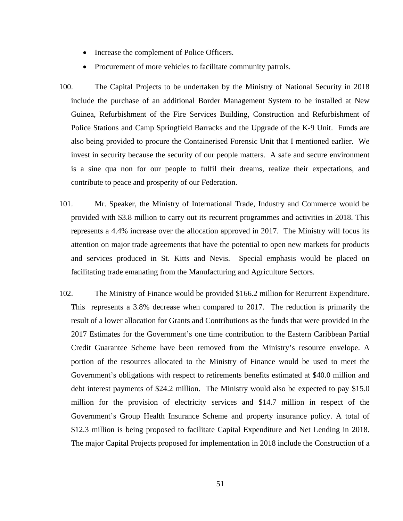- Increase the complement of Police Officers.
- Procurement of more vehicles to facilitate community patrols.
- 100. The Capital Projects to be undertaken by the Ministry of National Security in 2018 include the purchase of an additional Border Management System to be installed at New Guinea, Refurbishment of the Fire Services Building, Construction and Refurbishment of Police Stations and Camp Springfield Barracks and the Upgrade of the K-9 Unit. Funds are also being provided to procure the Containerised Forensic Unit that I mentioned earlier. We invest in security because the security of our people matters. A safe and secure environment is a sine qua non for our people to fulfil their dreams, realize their expectations, and contribute to peace and prosperity of our Federation.
- 101. Mr. Speaker, the Ministry of International Trade, Industry and Commerce would be provided with \$3.8 million to carry out its recurrent programmes and activities in 2018. This represents a 4.4% increase over the allocation approved in 2017. The Ministry will focus its attention on major trade agreements that have the potential to open new markets for products and services produced in St. Kitts and Nevis. Special emphasis would be placed on facilitating trade emanating from the Manufacturing and Agriculture Sectors.
- 102. The Ministry of Finance would be provided \$166.2 million for Recurrent Expenditure. This represents a 3.8% decrease when compared to 2017. The reduction is primarily the result of a lower allocation for Grants and Contributions as the funds that were provided in the 2017 Estimates for the Government's one time contribution to the Eastern Caribbean Partial Credit Guarantee Scheme have been removed from the Ministry's resource envelope. A portion of the resources allocated to the Ministry of Finance would be used to meet the Government's obligations with respect to retirements benefits estimated at \$40.0 million and debt interest payments of \$24.2 million. The Ministry would also be expected to pay \$15.0 million for the provision of electricity services and \$14.7 million in respect of the Government's Group Health Insurance Scheme and property insurance policy. A total of \$12.3 million is being proposed to facilitate Capital Expenditure and Net Lending in 2018. The major Capital Projects proposed for implementation in 2018 include the Construction of a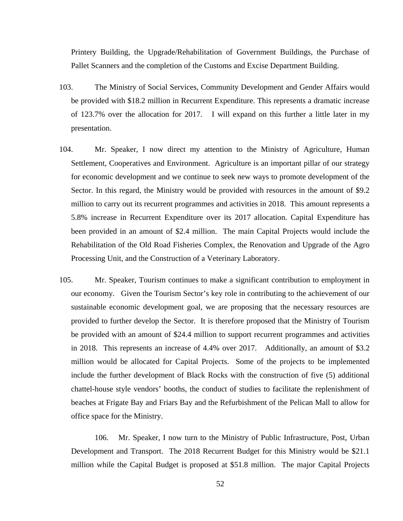Printery Building, the Upgrade/Rehabilitation of Government Buildings, the Purchase of Pallet Scanners and the completion of the Customs and Excise Department Building.

- 103. The Ministry of Social Services, Community Development and Gender Affairs would be provided with \$18.2 million in Recurrent Expenditure. This represents a dramatic increase of 123.7% over the allocation for 2017. I will expand on this further a little later in my presentation.
- 104. Mr. Speaker, I now direct my attention to the Ministry of Agriculture, Human Settlement, Cooperatives and Environment. Agriculture is an important pillar of our strategy for economic development and we continue to seek new ways to promote development of the Sector. In this regard, the Ministry would be provided with resources in the amount of \$9.2 million to carry out its recurrent programmes and activities in 2018. This amount represents a 5.8% increase in Recurrent Expenditure over its 2017 allocation. Capital Expenditure has been provided in an amount of \$2.4 million. The main Capital Projects would include the Rehabilitation of the Old Road Fisheries Complex, the Renovation and Upgrade of the Agro Processing Unit, and the Construction of a Veterinary Laboratory.
- 105. Mr. Speaker, Tourism continues to make a significant contribution to employment in our economy. Given the Tourism Sector's key role in contributing to the achievement of our sustainable economic development goal, we are proposing that the necessary resources are provided to further develop the Sector. It is therefore proposed that the Ministry of Tourism be provided with an amount of \$24.4 million to support recurrent programmes and activities in 2018. This represents an increase of 4.4% over 2017. Additionally, an amount of \$3.2 million would be allocated for Capital Projects. Some of the projects to be implemented include the further development of Black Rocks with the construction of five (5) additional chattel-house style vendors' booths, the conduct of studies to facilitate the replenishment of beaches at Frigate Bay and Friars Bay and the Refurbishment of the Pelican Mall to allow for office space for the Ministry.

106. Mr. Speaker, I now turn to the Ministry of Public Infrastructure, Post, Urban Development and Transport. The 2018 Recurrent Budget for this Ministry would be \$21.1 million while the Capital Budget is proposed at \$51.8 million. The major Capital Projects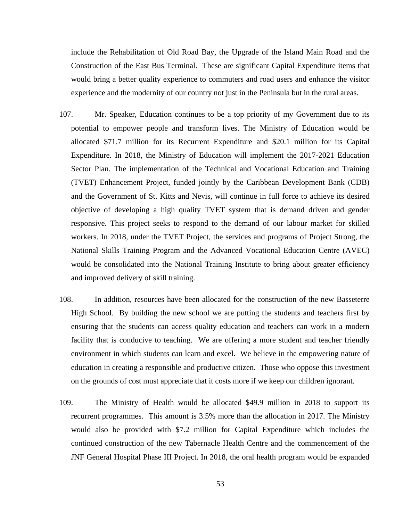include the Rehabilitation of Old Road Bay, the Upgrade of the Island Main Road and the Construction of the East Bus Terminal. These are significant Capital Expenditure items that would bring a better quality experience to commuters and road users and enhance the visitor experience and the modernity of our country not just in the Peninsula but in the rural areas.

- 107. Mr. Speaker, Education continues to be a top priority of my Government due to its potential to empower people and transform lives. The Ministry of Education would be allocated \$71.7 million for its Recurrent Expenditure and \$20.1 million for its Capital Expenditure. In 2018, the Ministry of Education will implement the 2017-2021 Education Sector Plan. The implementation of the Technical and Vocational Education and Training (TVET) Enhancement Project, funded jointly by the Caribbean Development Bank (CDB) and the Government of St. Kitts and Nevis, will continue in full force to achieve its desired objective of developing a high quality TVET system that is demand driven and gender responsive. This project seeks to respond to the demand of our labour market for skilled workers. In 2018, under the TVET Project, the services and programs of Project Strong, the National Skills Training Program and the Advanced Vocational Education Centre (AVEC) would be consolidated into the National Training Institute to bring about greater efficiency and improved delivery of skill training.
- 108. In addition, resources have been allocated for the construction of the new Basseterre High School. By building the new school we are putting the students and teachers first by ensuring that the students can access quality education and teachers can work in a modern facility that is conducive to teaching. We are offering a more student and teacher friendly environment in which students can learn and excel. We believe in the empowering nature of education in creating a responsible and productive citizen. Those who oppose this investment on the grounds of cost must appreciate that it costs more if we keep our children ignorant.
- 109. The Ministry of Health would be allocated \$49.9 million in 2018 to support its recurrent programmes. This amount is 3.5% more than the allocation in 2017. The Ministry would also be provided with \$7.2 million for Capital Expenditure which includes the continued construction of the new Tabernacle Health Centre and the commencement of the JNF General Hospital Phase III Project. In 2018, the oral health program would be expanded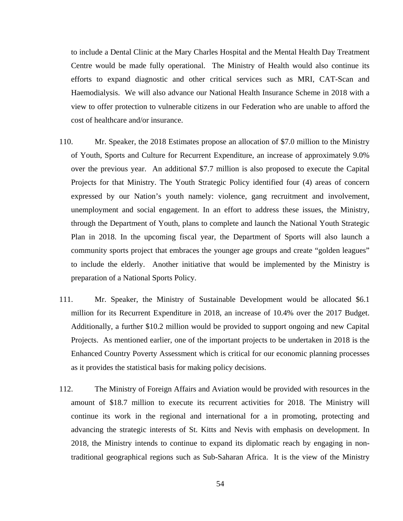to include a Dental Clinic at the Mary Charles Hospital and the Mental Health Day Treatment Centre would be made fully operational. The Ministry of Health would also continue its efforts to expand diagnostic and other critical services such as MRI, CAT-Scan and Haemodialysis. We will also advance our National Health Insurance Scheme in 2018 with a view to offer protection to vulnerable citizens in our Federation who are unable to afford the cost of healthcare and/or insurance.

- 110. Mr. Speaker, the 2018 Estimates propose an allocation of \$7.0 million to the Ministry of Youth, Sports and Culture for Recurrent Expenditure, an increase of approximately 9.0% over the previous year. An additional \$7.7 million is also proposed to execute the Capital Projects for that Ministry. The Youth Strategic Policy identified four (4) areas of concern expressed by our Nation's youth namely: violence, gang recruitment and involvement, unemployment and social engagement. In an effort to address these issues, the Ministry, through the Department of Youth, plans to complete and launch the National Youth Strategic Plan in 2018. In the upcoming fiscal year, the Department of Sports will also launch a community sports project that embraces the younger age groups and create "golden leagues" to include the elderly. Another initiative that would be implemented by the Ministry is preparation of a National Sports Policy.
- 111. Mr. Speaker, the Ministry of Sustainable Development would be allocated \$6.1 million for its Recurrent Expenditure in 2018, an increase of 10.4% over the 2017 Budget. Additionally, a further \$10.2 million would be provided to support ongoing and new Capital Projects. As mentioned earlier, one of the important projects to be undertaken in 2018 is the Enhanced Country Poverty Assessment which is critical for our economic planning processes as it provides the statistical basis for making policy decisions.
- 112. The Ministry of Foreign Affairs and Aviation would be provided with resources in the amount of \$18.7 million to execute its recurrent activities for 2018. The Ministry will continue its work in the regional and international for a in promoting, protecting and advancing the strategic interests of St. Kitts and Nevis with emphasis on development. In 2018, the Ministry intends to continue to expand its diplomatic reach by engaging in nontraditional geographical regions such as Sub-Saharan Africa. It is the view of the Ministry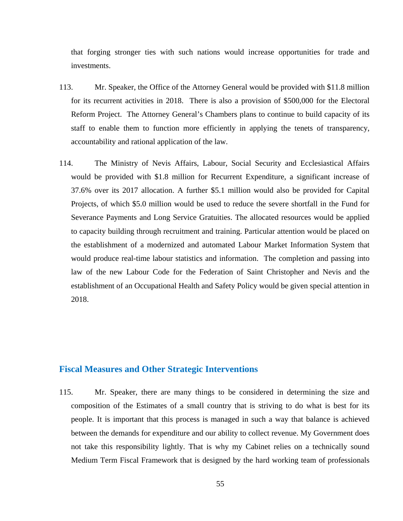that forging stronger ties with such nations would increase opportunities for trade and investments.

- 113. Mr. Speaker, the Office of the Attorney General would be provided with \$11.8 million for its recurrent activities in 2018. There is also a provision of \$500,000 for the Electoral Reform Project. The Attorney General's Chambers plans to continue to build capacity of its staff to enable them to function more efficiently in applying the tenets of transparency, accountability and rational application of the law.
- 114. The Ministry of Nevis Affairs, Labour, Social Security and Ecclesiastical Affairs would be provided with \$1.8 million for Recurrent Expenditure, a significant increase of 37.6% over its 2017 allocation. A further \$5.1 million would also be provided for Capital Projects, of which \$5.0 million would be used to reduce the severe shortfall in the Fund for Severance Payments and Long Service Gratuities. The allocated resources would be applied to capacity building through recruitment and training. Particular attention would be placed on the establishment of a modernized and automated Labour Market Information System that would produce real-time labour statistics and information. The completion and passing into law of the new Labour Code for the Federation of Saint Christopher and Nevis and the establishment of an Occupational Health and Safety Policy would be given special attention in 2018.

#### **Fiscal Measures and Other Strategic Interventions**

115. Mr. Speaker, there are many things to be considered in determining the size and composition of the Estimates of a small country that is striving to do what is best for its people. It is important that this process is managed in such a way that balance is achieved between the demands for expenditure and our ability to collect revenue. My Government does not take this responsibility lightly. That is why my Cabinet relies on a technically sound Medium Term Fiscal Framework that is designed by the hard working team of professionals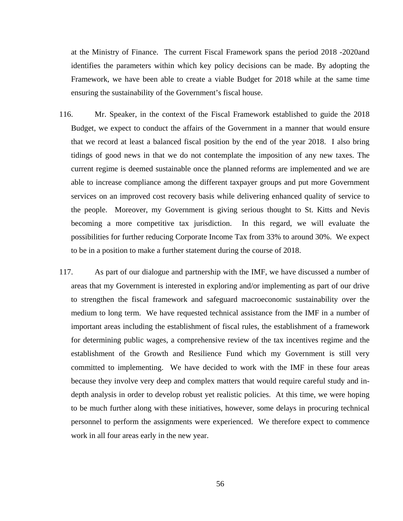at the Ministry of Finance. The current Fiscal Framework spans the period 2018 -2020and identifies the parameters within which key policy decisions can be made. By adopting the Framework, we have been able to create a viable Budget for 2018 while at the same time ensuring the sustainability of the Government's fiscal house.

- 116. Mr. Speaker, in the context of the Fiscal Framework established to guide the 2018 Budget, we expect to conduct the affairs of the Government in a manner that would ensure that we record at least a balanced fiscal position by the end of the year 2018. I also bring tidings of good news in that we do not contemplate the imposition of any new taxes. The current regime is deemed sustainable once the planned reforms are implemented and we are able to increase compliance among the different taxpayer groups and put more Government services on an improved cost recovery basis while delivering enhanced quality of service to the people. Moreover, my Government is giving serious thought to St. Kitts and Nevis becoming a more competitive tax jurisdiction. In this regard, we will evaluate the possibilities for further reducing Corporate Income Tax from 33% to around 30%. We expect to be in a position to make a further statement during the course of 2018.
- 117. As part of our dialogue and partnership with the IMF, we have discussed a number of areas that my Government is interested in exploring and/or implementing as part of our drive to strengthen the fiscal framework and safeguard macroeconomic sustainability over the medium to long term. We have requested technical assistance from the IMF in a number of important areas including the establishment of fiscal rules, the establishment of a framework for determining public wages, a comprehensive review of the tax incentives regime and the establishment of the Growth and Resilience Fund which my Government is still very committed to implementing. We have decided to work with the IMF in these four areas because they involve very deep and complex matters that would require careful study and indepth analysis in order to develop robust yet realistic policies. At this time, we were hoping to be much further along with these initiatives, however, some delays in procuring technical personnel to perform the assignments were experienced. We therefore expect to commence work in all four areas early in the new year.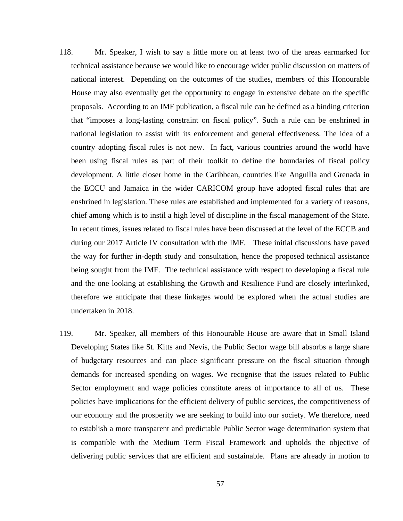- 118. Mr. Speaker, I wish to say a little more on at least two of the areas earmarked for technical assistance because we would like to encourage wider public discussion on matters of national interest. Depending on the outcomes of the studies, members of this Honourable House may also eventually get the opportunity to engage in extensive debate on the specific proposals. According to an IMF publication, a fiscal rule can be defined as a binding criterion that "imposes a long-lasting constraint on fiscal policy". Such a rule can be enshrined in national legislation to assist with its enforcement and general effectiveness. The idea of a country adopting fiscal rules is not new. In fact, various countries around the world have been using fiscal rules as part of their toolkit to define the boundaries of fiscal policy development. A little closer home in the Caribbean, countries like Anguilla and Grenada in the ECCU and Jamaica in the wider CARICOM group have adopted fiscal rules that are enshrined in legislation. These rules are established and implemented for a variety of reasons, chief among which is to instil a high level of discipline in the fiscal management of the State. In recent times, issues related to fiscal rules have been discussed at the level of the ECCB and during our 2017 Article IV consultation with the IMF. These initial discussions have paved the way for further in-depth study and consultation, hence the proposed technical assistance being sought from the IMF. The technical assistance with respect to developing a fiscal rule and the one looking at establishing the Growth and Resilience Fund are closely interlinked, therefore we anticipate that these linkages would be explored when the actual studies are undertaken in 2018.
- 119. Mr. Speaker, all members of this Honourable House are aware that in Small Island Developing States like St. Kitts and Nevis, the Public Sector wage bill absorbs a large share of budgetary resources and can place significant pressure on the fiscal situation through demands for increased spending on wages. We recognise that the issues related to Public Sector employment and wage policies constitute areas of importance to all of us. These policies have implications for the efficient delivery of public services, the competitiveness of our economy and the prosperity we are seeking to build into our society. We therefore, need to establish a more transparent and predictable Public Sector wage determination system that is compatible with the Medium Term Fiscal Framework and upholds the objective of delivering public services that are efficient and sustainable. Plans are already in motion to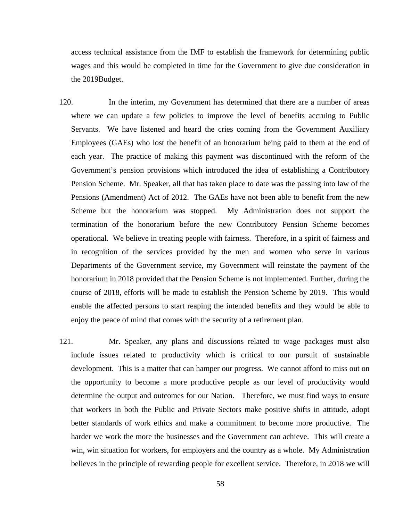access technical assistance from the IMF to establish the framework for determining public wages and this would be completed in time for the Government to give due consideration in the 2019Budget.

- 120. In the interim, my Government has determined that there are a number of areas where we can update a few policies to improve the level of benefits accruing to Public Servants. We have listened and heard the cries coming from the Government Auxiliary Employees (GAEs) who lost the benefit of an honorarium being paid to them at the end of each year. The practice of making this payment was discontinued with the reform of the Government's pension provisions which introduced the idea of establishing a Contributory Pension Scheme. Mr. Speaker, all that has taken place to date was the passing into law of the Pensions (Amendment) Act of 2012. The GAEs have not been able to benefit from the new Scheme but the honorarium was stopped. My Administration does not support the termination of the honorarium before the new Contributory Pension Scheme becomes operational. We believe in treating people with fairness. Therefore, in a spirit of fairness and in recognition of the services provided by the men and women who serve in various Departments of the Government service, my Government will reinstate the payment of the honorarium in 2018 provided that the Pension Scheme is not implemented. Further, during the course of 2018, efforts will be made to establish the Pension Scheme by 2019. This would enable the affected persons to start reaping the intended benefits and they would be able to enjoy the peace of mind that comes with the security of a retirement plan.
- 121. Mr. Speaker, any plans and discussions related to wage packages must also include issues related to productivity which is critical to our pursuit of sustainable development. This is a matter that can hamper our progress. We cannot afford to miss out on the opportunity to become a more productive people as our level of productivity would determine the output and outcomes for our Nation. Therefore, we must find ways to ensure that workers in both the Public and Private Sectors make positive shifts in attitude, adopt better standards of work ethics and make a commitment to become more productive. The harder we work the more the businesses and the Government can achieve. This will create a win, win situation for workers, for employers and the country as a whole. My Administration believes in the principle of rewarding people for excellent service. Therefore, in 2018 we will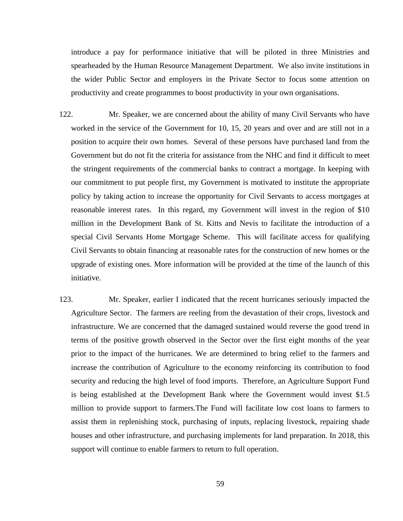introduce a pay for performance initiative that will be piloted in three Ministries and spearheaded by the Human Resource Management Department. We also invite institutions in the wider Public Sector and employers in the Private Sector to focus some attention on productivity and create programmes to boost productivity in your own organisations.

- 122. Mr. Speaker, we are concerned about the ability of many Civil Servants who have worked in the service of the Government for 10, 15, 20 years and over and are still not in a position to acquire their own homes. Several of these persons have purchased land from the Government but do not fit the criteria for assistance from the NHC and find it difficult to meet the stringent requirements of the commercial banks to contract a mortgage. In keeping with our commitment to put people first, my Government is motivated to institute the appropriate policy by taking action to increase the opportunity for Civil Servants to access mortgages at reasonable interest rates. In this regard, my Government will invest in the region of \$10 million in the Development Bank of St. Kitts and Nevis to facilitate the introduction of a special Civil Servants Home Mortgage Scheme. This will facilitate access for qualifying Civil Servants to obtain financing at reasonable rates for the construction of new homes or the upgrade of existing ones. More information will be provided at the time of the launch of this initiative.
- 123. Mr. Speaker, earlier I indicated that the recent hurricanes seriously impacted the Agriculture Sector. The farmers are reeling from the devastation of their crops, livestock and infrastructure. We are concerned that the damaged sustained would reverse the good trend in terms of the positive growth observed in the Sector over the first eight months of the year prior to the impact of the hurricanes. We are determined to bring relief to the farmers and increase the contribution of Agriculture to the economy reinforcing its contribution to food security and reducing the high level of food imports. Therefore, an Agriculture Support Fund is being established at the Development Bank where the Government would invest \$1.5 million to provide support to farmers.The Fund will facilitate low cost loans to farmers to assist them in replenishing stock, purchasing of inputs, replacing livestock, repairing shade houses and other infrastructure, and purchasing implements for land preparation. In 2018, this support will continue to enable farmers to return to full operation.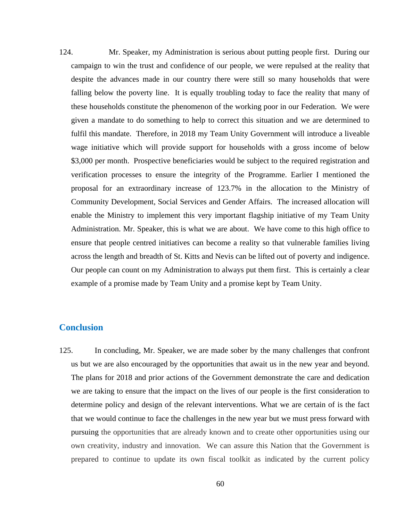124. Mr. Speaker, my Administration is serious about putting people first. During our campaign to win the trust and confidence of our people, we were repulsed at the reality that despite the advances made in our country there were still so many households that were falling below the poverty line. It is equally troubling today to face the reality that many of these households constitute the phenomenon of the working poor in our Federation. We were given a mandate to do something to help to correct this situation and we are determined to fulfil this mandate. Therefore, in 2018 my Team Unity Government will introduce a liveable wage initiative which will provide support for households with a gross income of below \$3,000 per month. Prospective beneficiaries would be subject to the required registration and verification processes to ensure the integrity of the Programme. Earlier I mentioned the proposal for an extraordinary increase of 123.7% in the allocation to the Ministry of Community Development, Social Services and Gender Affairs. The increased allocation will enable the Ministry to implement this very important flagship initiative of my Team Unity Administration. Mr. Speaker, this is what we are about. We have come to this high office to ensure that people centred initiatives can become a reality so that vulnerable families living across the length and breadth of St. Kitts and Nevis can be lifted out of poverty and indigence. Our people can count on my Administration to always put them first. This is certainly a clear example of a promise made by Team Unity and a promise kept by Team Unity.

#### **Conclusion**

125. In concluding, Mr. Speaker, we are made sober by the many challenges that confront us but we are also encouraged by the opportunities that await us in the new year and beyond. The plans for 2018 and prior actions of the Government demonstrate the care and dedication we are taking to ensure that the impact on the lives of our people is the first consideration to determine policy and design of the relevant interventions. What we are certain of is the fact that we would continue to face the challenges in the new year but we must press forward with pursuing the opportunities that are already known and to create other opportunities using our own creativity, industry and innovation. We can assure this Nation that the Government is prepared to continue to update its own fiscal toolkit as indicated by the current policy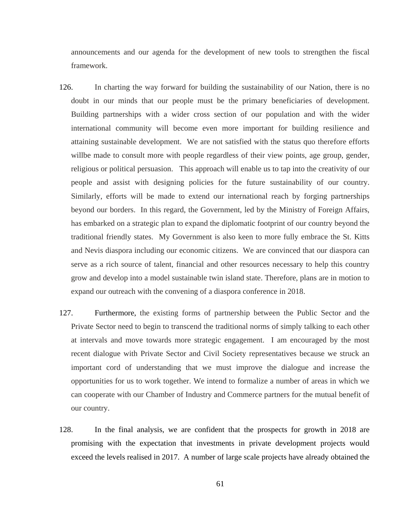announcements and our agenda for the development of new tools to strengthen the fiscal framework.

- 126. In charting the way forward for building the sustainability of our Nation, there is no doubt in our minds that our people must be the primary beneficiaries of development. Building partnerships with a wider cross section of our population and with the wider international community will become even more important for building resilience and attaining sustainable development. We are not satisfied with the status quo therefore efforts willbe made to consult more with people regardless of their view points, age group, gender, religious or political persuasion. This approach will enable us to tap into the creativity of our people and assist with designing policies for the future sustainability of our country. Similarly, efforts will be made to extend our international reach by forging partnerships beyond our borders. In this regard, the Government, led by the Ministry of Foreign Affairs, has embarked on a strategic plan to expand the diplomatic footprint of our country beyond the traditional friendly states. My Government is also keen to more fully embrace the St. Kitts and Nevis diaspora including our economic citizens. We are convinced that our diaspora can serve as a rich source of talent, financial and other resources necessary to help this country grow and develop into a model sustainable twin island state. Therefore, plans are in motion to expand our outreach with the convening of a diaspora conference in 2018.
- 127. Furthermore, the existing forms of partnership between the Public Sector and the Private Sector need to begin to transcend the traditional norms of simply talking to each other at intervals and move towards more strategic engagement. I am encouraged by the most recent dialogue with Private Sector and Civil Society representatives because we struck an important cord of understanding that we must improve the dialogue and increase the opportunities for us to work together. We intend to formalize a number of areas in which we can cooperate with our Chamber of Industry and Commerce partners for the mutual benefit of our country.
- 128. In the final analysis, we are confident that the prospects for growth in 2018 are promising with the expectation that investments in private development projects would exceed the levels realised in 2017. A number of large scale projects have already obtained the